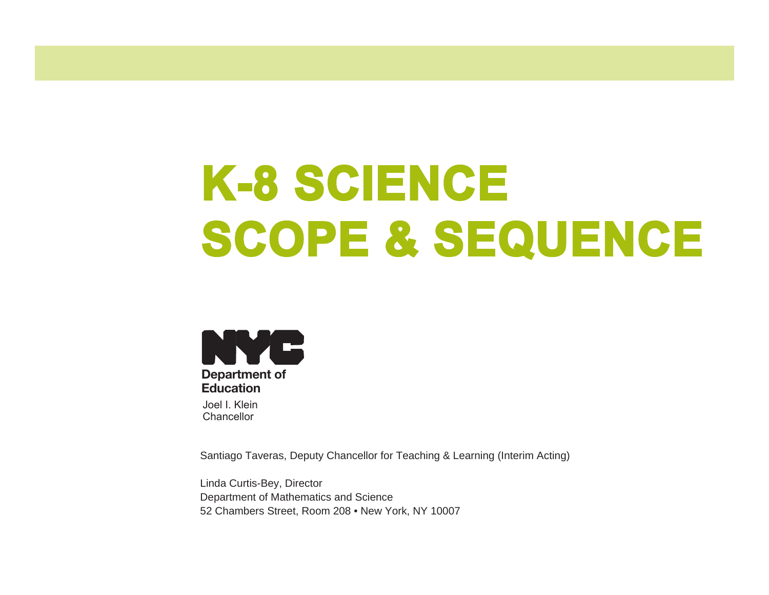# **K-8 SCIENCE SCOPE & SEQUENCE**



Santiago Taveras, Deputy Chancellor for Teaching & Learning (Interim Acting)

Linda Curtis-Bey, Director Department of Mathematics and Science 52 Chambers Street, Room 208 • New York, NY 10007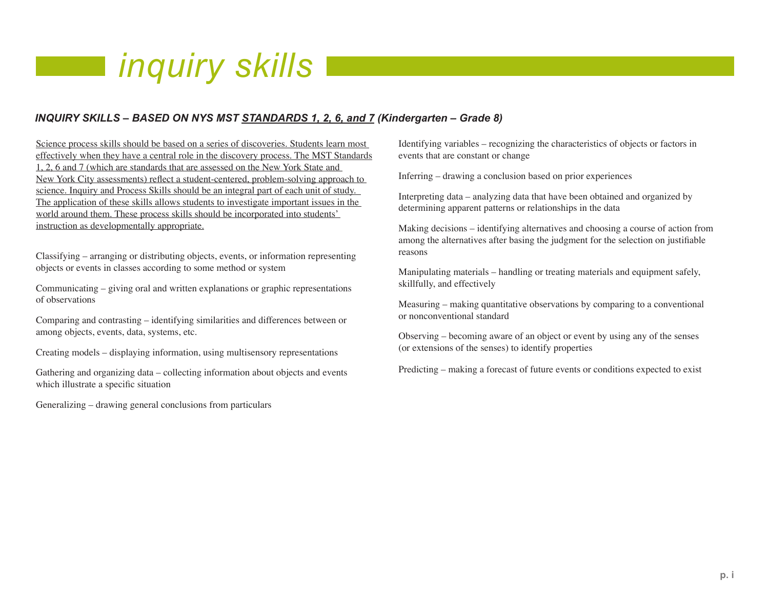#### *inquiry skills*

#### *INQUIRY SKILLS – BASED ON NYS MST STANDARDS 1, 2, 6, and 7 (Kindergarten – Grade 8)*

Science process skills should be based on a series of discoveries. Students learn most effectively when they have a central role in the discovery process. The MST Standards 1, 2, 6 and 7 (which are standards that are assessed on the New York State and New York City assessments) reflect a student-centered, problem-solving approach to science. Inquiry and Process Skills should be an integral part of each unit of study. The application of these skills allows students to investigate important issues in the world around them. These process skills should be incorporated into students' instruction as developmentally appropriate.

Classifying – arranging or distributing objects, events, or information representing objects or events in classes according to some method or system

Communicating – giving oral and written explanations or graphic representations of observations

Comparing and contrasting – identifying similarities and differences between or among objects, events, data, systems, etc.

Creating models – displaying information, using multisensory representations

Gathering and organizing data – collecting information about objects and events which illustrate a specific situation

Generalizing – drawing general conclusions from particulars

Identifying variables – recognizing the characteristics of objects or factors in events that are constant or change

Inferring – drawing a conclusion based on prior experiences

Interpreting data – analyzing data that have been obtained and organized by determining apparent patterns or relationships in the data

Making decisions – identifying alternatives and choosing a course of action from among the alternatives after basing the judgment for the selection on justifiable reasons

Manipulating materials – handling or treating materials and equipment safely, skillfully, and effectively

Measuring – making quantitative observations by comparing to a conventional or nonconventional standard

Observing – becoming aware of an object or event by using any of the senses (or extensions of the senses) to identify properties

Predicting – making a forecast of future events or conditions expected to exist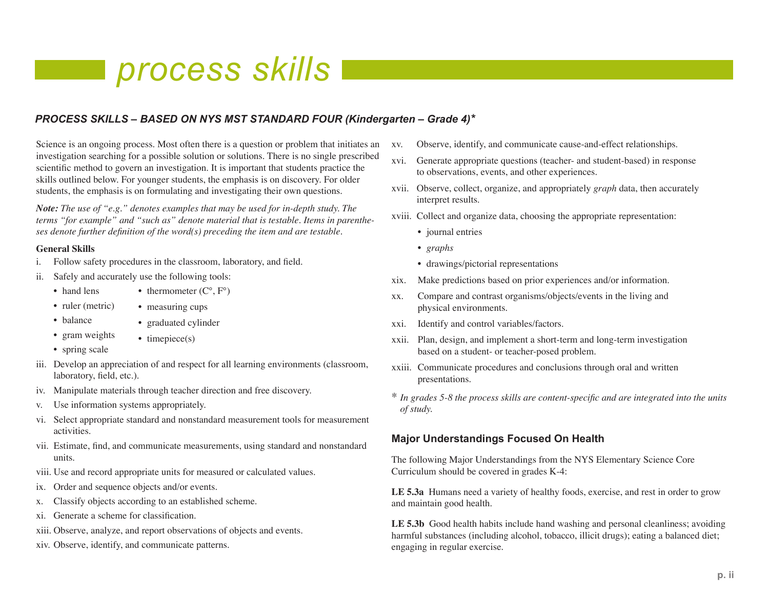#### *process skills*

#### *PROCESS SKILLS – BASED ON NYS MST STANDARD FOUR (Kindergarten – Grade 4)\**

Science is an ongoing process. Most often there is a question or problem that initiates an investigation searching for a possible solution or solutions. There is no single prescribed scientific method to govern an investigation. It is important that students practice the skills outlined below. For younger students, the emphasis is on discovery. For older students, the emphasis is on formulating and investigating their own questions.

*Note: The use of "e.g." denotes examples that may be used for in-depth study. The terms "for example" and "such as" denote material that is testable. Items in parentheses denote further definition of the word(s) preceding the item and are testable.*

#### **General Skills**

- i. Follow safety procedures in the classroom, laboratory, and field.
- ii. Safely and accurately use the following tools:
	- hand lens • thermometer  $(C^{\circ}, F^{\circ})$
	- ruler (metric) • measuring cups
	- balance
	- gram weights • timepiece(s)
	- spring scale
- iii. Develop an appreciation of and respect for all learning environments (classroom, laboratory, field, etc.).
- iv. Manipulate materials through teacher direction and free discovery.

• graduated cylinder

- v. Use information systems appropriately.
- vi. Select appropriate standard and nonstandard measurement tools for measurement activities.
- vii. Estimate, find, and communicate measurements, using standard and nonstandard units.
- viii. Use and record appropriate units for measured or calculated values.
- ix. Order and sequence objects and/or events.
- x. Classify objects according to an established scheme.
- xi. Generate a scheme for classification.
- xiii. Observe, analyze, and report observations of objects and events.
- xiv. Observe, identify, and communicate patterns.
- xv. Observe, identify, and communicate cause-and-effect relationships.
- xvi. Generate appropriate questions (teacher- and student-based) in response to observations, events, and other experiences.
- xvii. Observe, collect, organize, and appropriately *graph* data, then accurately interpret results.
- xviii. Collect and organize data, choosing the appropriate representation:
	- journal entries
	- *graphs*
	- drawings/pictorial representations
- xix. Make predictions based on prior experiences and/or information.
- xx. Compare and contrast organisms/objects/events in the living and physical environments.
- xxi. Identify and control variables/factors.
- xxii. Plan, design, and implement a short-term and long-term investigation based on a student- or teacher-posed problem.
- xxiii. Communicate procedures and conclusions through oral and written presentations.
- \* *In grades 5-8 the process skills are content-specific and are integrated into the units of study.*

#### **Major Understandings Focused On Health**

The following Major Understandings from the NYS Elementary Science Core Curriculum should be covered in grades K-4:

**LE 5.3a** Humans need a variety of healthy foods, exercise, and rest in order to grow and maintain good health.

**LE 5.3b** Good health habits include hand washing and personal cleanliness; avoiding harmful substances (including alcohol, tobacco, illicit drugs); eating a balanced diet; engaging in regular exercise.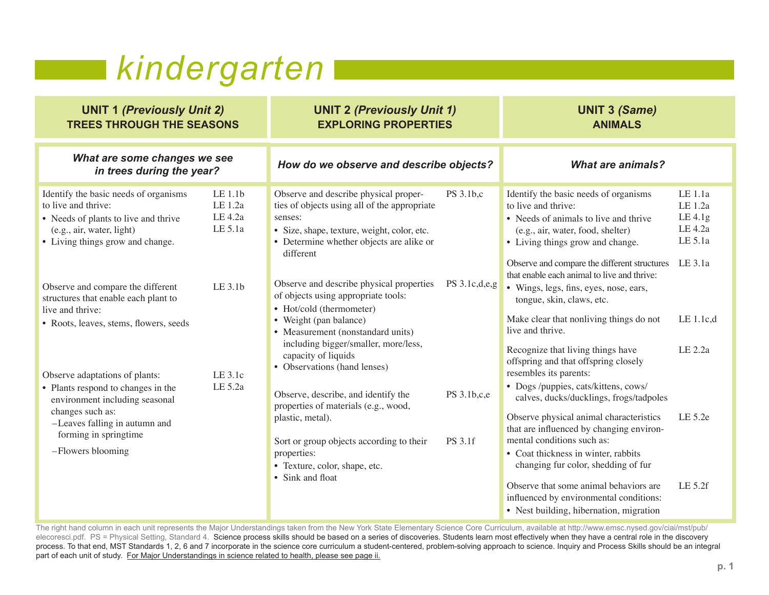## *kindergarten*

| <b>UNIT 1 (Previously Unit 2)</b><br><b>TREES THROUGH THE SEASONS</b>                                                                                                                                               | <b>UNIT 2 (Previously Unit 1)</b><br><b>EXPLORING PROPERTIES</b>                                                                                                                                                                                                                             | <b>UNIT 3 (Same)</b><br><b>ANIMALS</b>                                                                                                                                                                                                                                                                                                             |
|---------------------------------------------------------------------------------------------------------------------------------------------------------------------------------------------------------------------|----------------------------------------------------------------------------------------------------------------------------------------------------------------------------------------------------------------------------------------------------------------------------------------------|----------------------------------------------------------------------------------------------------------------------------------------------------------------------------------------------------------------------------------------------------------------------------------------------------------------------------------------------------|
| What are some changes we see<br>in trees during the year?                                                                                                                                                           | How do we observe and describe objects?                                                                                                                                                                                                                                                      | <b>What are animals?</b>                                                                                                                                                                                                                                                                                                                           |
| LE 1.1b<br>Identify the basic needs of organisms<br>to live and thrive:<br>LE 1.2a<br>$LE$ 4.2a<br>• Needs of plants to live and thrive<br>LE 5.1a<br>(e.g., air, water, light)<br>• Living things grow and change. | Observe and describe physical proper-<br>PS 3.1b,c<br>ties of objects using all of the appropriate<br>senses:<br>· Size, shape, texture, weight, color, etc.<br>• Determine whether objects are alike or<br>different                                                                        | LE 1.1a<br>Identify the basic needs of organisms<br>to live and thrive:<br>LE 1.2a<br>$LE$ 4.1g<br>• Needs of animals to live and thrive<br>LE 4.2a<br>(e.g., air, water, food, shelter)<br>LE 5.1a<br>• Living things grow and change.<br>LE 3.1a<br>Observe and compare the different structures<br>that enable each animal to live and thrive:  |
| LE 3.1b<br>Observe and compare the different<br>structures that enable each plant to<br>live and thrive:<br>• Roots, leaves, stems, flowers, seeds<br>$LE$ 3.1 $c$<br>Observe adaptations of plants:                | Observe and describe physical properties<br>PS $3.1c,d,e,g$<br>of objects using appropriate tools:<br>• Hot/cold (thermometer)<br>• Weight (pan balance)<br>• Measurement (nonstandard units)<br>including bigger/smaller, more/less,<br>capacity of liquids<br>• Observations (hand lenses) | · Wings, legs, fins, eyes, nose, ears,<br>tongue, skin, claws, etc.<br>LE 1.1c,d<br>Make clear that nonliving things do not<br>live and thrive.<br>LE 2.2a<br>Recognize that living things have<br>offspring and that offspring closely<br>resembles its parents:                                                                                  |
| LE 5.2a<br>• Plants respond to changes in the<br>environment including seasonal<br>changes such as:<br>-Leaves falling in autumn and<br>forming in springtime<br>-Flowers blooming                                  | Observe, describe, and identify the<br>PS 3.1b,c,e<br>properties of materials (e.g., wood,<br>plastic, metal).<br>PS 3.1f<br>Sort or group objects according to their<br>properties:<br>• Texture, color, shape, etc.<br>• Sink and float                                                    | • Dogs /puppies, cats/kittens, cows/<br>calves, ducks/ducklings, frogs/tadpoles<br>LE 5.2e<br>Observe physical animal characteristics<br>that are influenced by changing environ-<br>mental conditions such as:<br>• Coat thickness in winter, rabbits<br>changing fur color, shedding of fur<br>Observe that some animal behaviors are<br>LE 5.2f |
|                                                                                                                                                                                                                     |                                                                                                                                                                                                                                                                                              | influenced by environmental conditions:<br>• Nest building, hibernation, migration                                                                                                                                                                                                                                                                 |

The right hand column in each unit represents the Major Understandings taken from the New York State Elementary Science Core Curriculum, available at http://www.emsc.nysed.gov/ciai/mst/pub/ elecoresci.pdf. PS = Physical Setting, Standard 4. Science process skills should be based on a series of discoveries. Students learn most effectively when they have a central role in the discovery process. To that end, MST Standards 1, 2, 6 and 7 incorporate in the science core curriculum a student-centered, problem-solving approach to science. Inquiry and Process Skills should be an integral part of each unit of study. For Major Understandings in science related to health, please see page ii.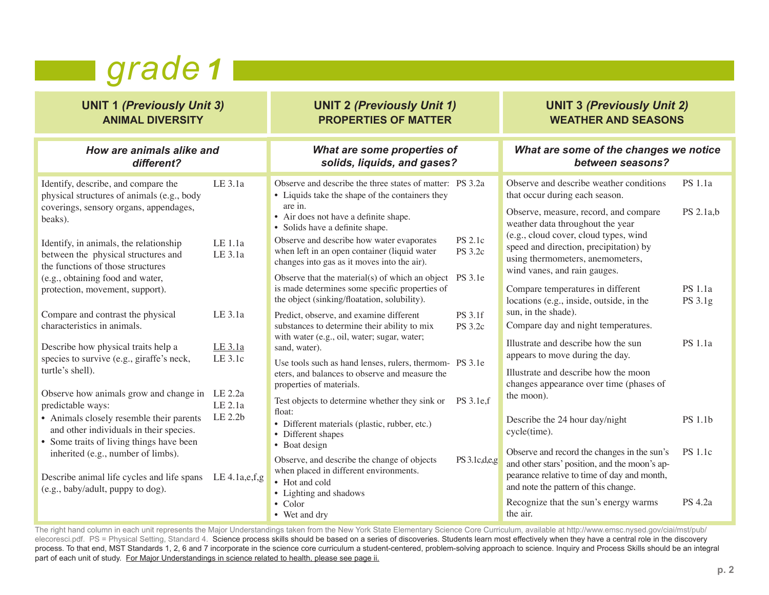#### **grade** 1

| <b>UNIT 1 (Previously Unit 3)</b><br><b>ANIMAL DIVERSITY</b>                                                                                                                                                                                                                                                                                                                                                                                                                                                                                                                                                                                                                                                                                                                                                                                       |                                                                                                         | <b>UNIT 2 (Previously Unit 1)</b><br><b>PROPERTIES OF MATTER</b>                                                                                                                                                                                                                                                                                                                                                                                                                                                                                                                                                                                                                                                                                                                                                                                                                                                                                                                                                                                                                                                   |                                                                                | <b>UNIT 3 (Previously Unit 2)</b><br><b>WEATHER AND SEASONS</b>                                                                                                                                                                                                                                                                                                                                                                                                                                                                                                                                                                                                                                                                                                                                                                                                                  |                                                                                                  |
|----------------------------------------------------------------------------------------------------------------------------------------------------------------------------------------------------------------------------------------------------------------------------------------------------------------------------------------------------------------------------------------------------------------------------------------------------------------------------------------------------------------------------------------------------------------------------------------------------------------------------------------------------------------------------------------------------------------------------------------------------------------------------------------------------------------------------------------------------|---------------------------------------------------------------------------------------------------------|--------------------------------------------------------------------------------------------------------------------------------------------------------------------------------------------------------------------------------------------------------------------------------------------------------------------------------------------------------------------------------------------------------------------------------------------------------------------------------------------------------------------------------------------------------------------------------------------------------------------------------------------------------------------------------------------------------------------------------------------------------------------------------------------------------------------------------------------------------------------------------------------------------------------------------------------------------------------------------------------------------------------------------------------------------------------------------------------------------------------|--------------------------------------------------------------------------------|----------------------------------------------------------------------------------------------------------------------------------------------------------------------------------------------------------------------------------------------------------------------------------------------------------------------------------------------------------------------------------------------------------------------------------------------------------------------------------------------------------------------------------------------------------------------------------------------------------------------------------------------------------------------------------------------------------------------------------------------------------------------------------------------------------------------------------------------------------------------------------|--------------------------------------------------------------------------------------------------|
| How are animals alike and<br>different?                                                                                                                                                                                                                                                                                                                                                                                                                                                                                                                                                                                                                                                                                                                                                                                                            |                                                                                                         | What are some properties of<br>solids, liquids, and gases?                                                                                                                                                                                                                                                                                                                                                                                                                                                                                                                                                                                                                                                                                                                                                                                                                                                                                                                                                                                                                                                         |                                                                                | What are some of the changes we notice<br>between seasons?                                                                                                                                                                                                                                                                                                                                                                                                                                                                                                                                                                                                                                                                                                                                                                                                                       |                                                                                                  |
| Identify, describe, and compare the<br>physical structures of animals (e.g., body<br>coverings, sensory organs, appendages,<br>beaks).<br>Identify, in animals, the relationship<br>between the physical structures and<br>the functions of those structures<br>(e.g., obtaining food and water,<br>protection, movement, support).<br>Compare and contrast the physical<br>characteristics in animals.<br>Describe how physical traits help a<br>species to survive (e.g., giraffe's neck,<br>turtle's shell).<br>Observe how animals grow and change in LE 2.2a<br>predictable ways:<br>• Animals closely resemble their parents<br>and other individuals in their species.<br>• Some traits of living things have been<br>inherited (e.g., number of limbs).<br>Describe animal life cycles and life spans<br>(e.g., baby/adult, puppy to dog). | LE 3.1a<br>LE 1.1a<br>LE 3.1a<br>LE 3.1a<br>LE 3.1a<br>LE 3.1c<br>LE 2.1a<br>LE 2.2b<br>LE $4.1a,e,f,g$ | Observe and describe the three states of matter: PS 3.2a<br>• Liquids take the shape of the containers they<br>are in.<br>• Air does not have a definite shape.<br>• Solids have a definite shape.<br>Observe and describe how water evaporates<br>when left in an open container (liquid water<br>changes into gas as it moves into the air).<br>Observe that the material(s) of which an object PS 3.1e<br>is made determines some specific properties of<br>the object (sinking/floatation, solubility).<br>Predict, observe, and examine different<br>substances to determine their ability to mix<br>with water (e.g., oil, water; sugar, water;<br>sand, water).<br>Use tools such as hand lenses, rulers, thermom- PS 3.1e<br>eters, and balances to observe and measure the<br>properties of materials.<br>Test objects to determine whether they sink or PS 3.1e,f<br>float:<br>· Different materials (plastic, rubber, etc.)<br>• Different shapes<br>• Boat design<br>Observe, and describe the change of objects<br>when placed in different environments.<br>• Hot and cold<br>• Lighting and shadows | <b>PS 2.1c</b><br><b>PS</b> 3.2c<br>PS 3.1f<br><b>PS</b> 3.2c<br>PS 3.1c,d,e,g | Observe and describe weather conditions<br>that occur during each season.<br>Observe, measure, record, and compare<br>weather data throughout the year<br>(e.g., cloud cover, cloud types, wind<br>speed and direction, precipitation) by<br>using thermometers, anemometers,<br>wind vanes, and rain gauges.<br>Compare temperatures in different<br>locations (e.g., inside, outside, in the<br>sun, in the shade).<br>Compare day and night temperatures.<br>Illustrate and describe how the sun<br>appears to move during the day.<br>Illustrate and describe how the moon<br>changes appearance over time (phases of<br>the moon).<br>Describe the 24 hour day/night<br>cycle(time).<br>Observe and record the changes in the sun's<br>and other stars' position, and the moon's ap-<br>pearance relative to time of day and month,<br>and note the pattern of this change. | <b>PS</b> 1.1a<br>PS 2.1a,b<br>PS 1.1a<br>PS 3.1g<br>PS 1.1a<br><b>PS 1.1b</b><br><b>PS</b> 1.1c |
|                                                                                                                                                                                                                                                                                                                                                                                                                                                                                                                                                                                                                                                                                                                                                                                                                                                    |                                                                                                         | $\bullet$ Color<br>• Wet and dry                                                                                                                                                                                                                                                                                                                                                                                                                                                                                                                                                                                                                                                                                                                                                                                                                                                                                                                                                                                                                                                                                   |                                                                                | Recognize that the sun's energy warms<br>the air.                                                                                                                                                                                                                                                                                                                                                                                                                                                                                                                                                                                                                                                                                                                                                                                                                                | <b>PS 4.2a</b>                                                                                   |

The right hand column in each unit represents the Major Understandings taken from the New York State Elementary Science Core Curriculum, available at http://www.emsc.nysed.gov/ciai/mst/pub/ elecoresci.pdf. PS = Physical Setting, Standard 4. Science process skills should be based on a series of discoveries. Students learn most effectively when they have a central role in the discovery process. To that end, MST Standards 1, 2, 6 and 7 incorporate in the science core curriculum a student-centered, problem-solving approach to science. Inquiry and Process Skills should be an integral part of each unit of study. For Major Understandings in science related to health, please see page ii.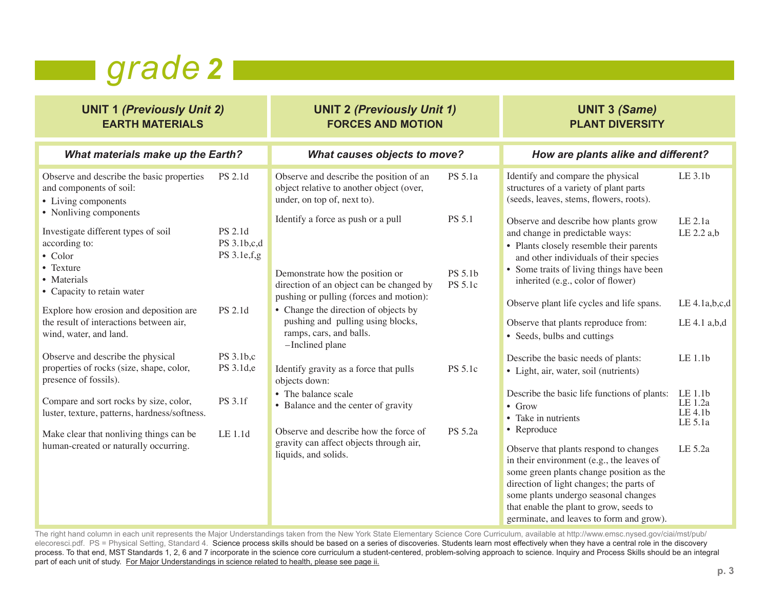#### **grade** 2

| <b>UNIT 1 (Previously Unit 2)</b><br><b>EARTH MATERIALS</b>                                                           |                                       | <b>UNIT 2 (Previously Unit 1)</b><br><b>FORCES AND MOTION</b>                                                           |                    | <b>UNIT 3 (Same)</b><br><b>PLANT DIVERSITY</b>                                                                                                                                                                                                                                                                            |                                          |  |
|-----------------------------------------------------------------------------------------------------------------------|---------------------------------------|-------------------------------------------------------------------------------------------------------------------------|--------------------|---------------------------------------------------------------------------------------------------------------------------------------------------------------------------------------------------------------------------------------------------------------------------------------------------------------------------|------------------------------------------|--|
| <b>What materials make up the Earth?</b>                                                                              |                                       | <b>What causes objects to move?</b>                                                                                     |                    | How are plants alike and different?                                                                                                                                                                                                                                                                                       |                                          |  |
| Observe and describe the basic properties<br>and components of soil:<br>• Living components<br>• Nonliving components | PS 2.1d                               | Observe and describe the position of an<br>object relative to another object (over,<br>under, on top of, next to).      | PS 5.1a            | Identify and compare the physical<br>structures of a variety of plant parts<br>(seeds, leaves, stems, flowers, roots).                                                                                                                                                                                                    | LE 3.1b                                  |  |
| Investigate different types of soil<br>according to:<br>$\bullet$ Color                                               | PS 2.1d<br>PS 3.1b,c,d<br>PS 3.1e,f,g | Identify a force as push or a pull                                                                                      | PS 5.1             | Observe and describe how plants grow<br>and change in predictable ways:<br>• Plants closely resemble their parents<br>and other individuals of their species                                                                                                                                                              | LE 2.1a<br>LE 2.2 a,b                    |  |
| • Texture<br>• Materials<br>• Capacity to retain water                                                                |                                       | Demonstrate how the position or<br>direction of an object can be changed by<br>pushing or pulling (forces and motion):  | PS 5.1b<br>PS 5.1c | • Some traits of living things have been<br>inherited (e.g., color of flower)                                                                                                                                                                                                                                             |                                          |  |
| Explore how erosion and deposition are<br>the result of interactions between air,<br>wind, water, and land.           | PS 2.1d                               | • Change the direction of objects by<br>pushing and pulling using blocks,<br>ramps, cars, and balls.<br>-Inclined plane |                    | Observe plant life cycles and life spans.<br>Observe that plants reproduce from:<br>• Seeds, bulbs and cuttings                                                                                                                                                                                                           | LE 4.1a,b,c,d<br>LE 4.1 a,b,d            |  |
| Observe and describe the physical<br>properties of rocks (size, shape, color,<br>presence of fossils).                | PS 3.1b,c<br>PS 3.1d,e                | Identify gravity as a force that pulls<br>objects down:                                                                 | PS 5.1c            | Describe the basic needs of plants:<br>• Light, air, water, soil (nutrients)                                                                                                                                                                                                                                              | LE 1.1b                                  |  |
| Compare and sort rocks by size, color,<br>luster, texture, patterns, hardness/softness.                               | PS 3.1f                               | • The balance scale<br>• Balance and the center of gravity                                                              |                    | Describe the basic life functions of plants:<br>$\bullet$ Grow<br>• Take in nutrients                                                                                                                                                                                                                                     | LE 1.1b<br>LE 1.2a<br>LE 4.1b<br>LE 5.1a |  |
| Make clear that nonliving things can be<br>human-created or naturally occurring.                                      | LE 1.1d                               | Observe and describe how the force of<br>gravity can affect objects through air,<br>liquids, and solids.                | PS 5.2a            | • Reproduce<br>Observe that plants respond to changes<br>in their environment (e.g., the leaves of<br>some green plants change position as the<br>direction of light changes; the parts of<br>some plants undergo seasonal changes<br>that enable the plant to grow, seeds to<br>germinate, and leaves to form and grow). | LE 5.2a                                  |  |

The right hand column in each unit represents the Major Understandings taken from the New York State Elementary Science Core Curriculum, available at http://www.emsc.nysed.gov/ciai/mst/pub/ elecoresci.pdf. PS = Physical Setting, Standard 4. Science process skills should be based on a series of discoveries. Students learn most effectively when they have a central role in the discovery process. To that end, MST Standards 1, 2, 6 and 7 incorporate in the science core curriculum a student-centered, problem-solving approach to science. Inquiry and Process Skills should be an integral part of each unit of study. For Major Understandings in science related to health, please see page ii.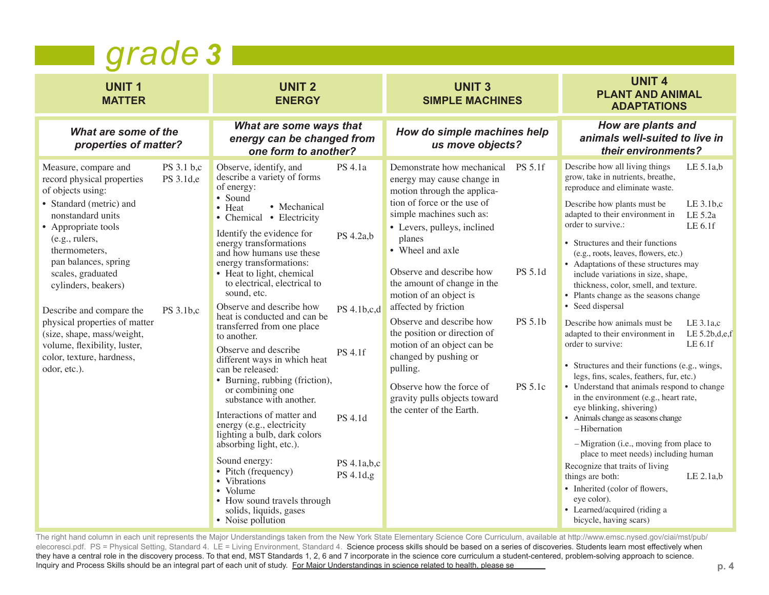|                                                                                                                                                                                                                                                                                                                                                                                                                                                                       | grade 3                                                                                                                                                                                                                                                                                                                                                                                                                                                                                                                                                                                                                                                                                                                                                                                                                                                                                                                                                                        |                                                                                                                                                                                                                                                                                                                                                                                                                                                                                                                                                                                              |                                                                                                                                                                                                                                                                                                                                                                                                                                                                                                                                                                                                                                                                                                                                                                                                                                                                                                                                                                                                                                                                                                                                                                                                   |  |  |  |  |
|-----------------------------------------------------------------------------------------------------------------------------------------------------------------------------------------------------------------------------------------------------------------------------------------------------------------------------------------------------------------------------------------------------------------------------------------------------------------------|--------------------------------------------------------------------------------------------------------------------------------------------------------------------------------------------------------------------------------------------------------------------------------------------------------------------------------------------------------------------------------------------------------------------------------------------------------------------------------------------------------------------------------------------------------------------------------------------------------------------------------------------------------------------------------------------------------------------------------------------------------------------------------------------------------------------------------------------------------------------------------------------------------------------------------------------------------------------------------|----------------------------------------------------------------------------------------------------------------------------------------------------------------------------------------------------------------------------------------------------------------------------------------------------------------------------------------------------------------------------------------------------------------------------------------------------------------------------------------------------------------------------------------------------------------------------------------------|---------------------------------------------------------------------------------------------------------------------------------------------------------------------------------------------------------------------------------------------------------------------------------------------------------------------------------------------------------------------------------------------------------------------------------------------------------------------------------------------------------------------------------------------------------------------------------------------------------------------------------------------------------------------------------------------------------------------------------------------------------------------------------------------------------------------------------------------------------------------------------------------------------------------------------------------------------------------------------------------------------------------------------------------------------------------------------------------------------------------------------------------------------------------------------------------------|--|--|--|--|
| <b>UNIT1</b><br><b>MATTER</b>                                                                                                                                                                                                                                                                                                                                                                                                                                         | <b>UNIT 2</b><br><b>ENERGY</b>                                                                                                                                                                                                                                                                                                                                                                                                                                                                                                                                                                                                                                                                                                                                                                                                                                                                                                                                                 | <b>UNIT 3</b><br><b>SIMPLE MACHINES</b>                                                                                                                                                                                                                                                                                                                                                                                                                                                                                                                                                      | <b>UNIT 4</b><br><b>PLANT AND ANIMAL</b><br><b>ADAPTATIONS</b>                                                                                                                                                                                                                                                                                                                                                                                                                                                                                                                                                                                                                                                                                                                                                                                                                                                                                                                                                                                                                                                                                                                                    |  |  |  |  |
| What are some of the<br>properties of matter?                                                                                                                                                                                                                                                                                                                                                                                                                         | What are some ways that<br>energy can be changed from<br>one form to another?                                                                                                                                                                                                                                                                                                                                                                                                                                                                                                                                                                                                                                                                                                                                                                                                                                                                                                  | How do simple machines help<br>us move objects?                                                                                                                                                                                                                                                                                                                                                                                                                                                                                                                                              | How are plants and<br>animals well-suited to live in<br>their environments?                                                                                                                                                                                                                                                                                                                                                                                                                                                                                                                                                                                                                                                                                                                                                                                                                                                                                                                                                                                                                                                                                                                       |  |  |  |  |
| PS 3.1 b,c<br>Measure, compare and<br>PS 3.1d,e<br>record physical properties<br>of objects using:<br>• Standard (metric) and<br>nonstandard units<br>• Appropriate tools<br>(e.g., rulers,<br>thermometers.<br>pan balances, spring<br>scales, graduated<br>cylinders, beakers)<br>PS 3.1b,c<br>Describe and compare the<br>physical properties of matter<br>(size, shape, mass/weight,<br>volume, flexibility, luster,<br>color, texture, hardness,<br>odor, etc.). | Observe, identify, and<br>PS 4.1a<br>describe a variety of forms<br>of energy:<br>• Sound<br>• Mechanical<br>$\bullet$ Heat<br>• Chemical • Electricity<br>Identify the evidence for<br>PS 4.2a,b<br>energy transformations<br>and how humans use these<br>energy transformations:<br>• Heat to light, chemical<br>to electrical, electrical to<br>sound, etc.<br>Observe and describe how<br>PS 4.1b,c,d<br>heat is conducted and can be.<br>transferred from one place<br>to another.<br>Observe and describe<br>PS 4.1f<br>different ways in which heat<br>can be released:<br>• Burning, rubbing (friction),<br>or combining one<br>substance with another.<br>Interactions of matter and<br>PS 4.1d<br>energy (e.g., electricity<br>lighting a bulb, dark colors<br>absorbing light, etc.).<br>Sound energy:<br>PS 4.1a,b,c<br>• Pitch (frequency)<br>PS 4.1d,g<br>• Vibrations<br>• Volume<br>• How sound travels through<br>solids, liquids, gases<br>• Noise pollution | Demonstrate how mechanical PS 5.1f<br>energy may cause change in<br>motion through the applica-<br>tion of force or the use of<br>simple machines such as:<br>• Levers, pulleys, inclined<br>planes<br>• Wheel and axle<br>Observe and describe how<br>PS 5.1d<br>the amount of change in the<br>motion of an object is<br>affected by friction<br>Observe and describe how<br>PS 5.1b<br>the position or direction of<br>motion of an object can be<br>changed by pushing or<br>pulling.<br>PS 5.1c<br>Observe how the force of<br>gravity pulls objects toward<br>the center of the Earth. | Describe how all living things<br>LE 5.1a.b<br>grow, take in nutrients, breathe,<br>reproduce and eliminate waste.<br>$LE$ 3.1b.c<br>Describe how plants must be<br>adapted to their environment in<br>LE 5.2a<br>order to survive.:<br>LE 6.1f<br>• Structures and their functions<br>(e.g., roots, leaves, flowers, etc.)<br>• Adaptations of these structures may<br>include variations in size, shape,<br>thickness, color, smell, and texture.<br>• Plants change as the seasons change<br>• Seed dispersal<br>Describe how animals must be<br>$LE$ 3.1a, $c$<br>LE $5.2b,d,e,f$<br>adapted to their environment in<br>LE 6.1f<br>order to survive:<br>• Structures and their functions (e.g., wings,<br>legs, fins, scales, feathers, fur, etc.)<br>• Understand that animals respond to change<br>in the environment (e.g., heart rate,<br>eye blinking, shivering)<br>• Animals change as seasons change<br>-Hibernation<br>-Migration (i.e., moving from place to<br>place to meet needs) including human<br>Recognize that traits of living<br>LE 2.1a,b<br>things are both:<br>• Inherited (color of flowers,<br>eye color).<br>• Learned/acquired (riding a<br>bicycle, having scars) |  |  |  |  |

The right hand column in each unit represents the Major Understandings taken from the New York State Elementary Science Core Curriculum, available at http://www.emsc.nysed.gov/ciai/mst/pub/ elecoresci.pdf. PS = Physical Setting, Standard 4. LE = Living Environment, Standard 4. Science process skills should be based on a series of discoveries. Students learn most effectively when they have a central role in the discovery process. To that end, MST Standards 1, 2, 6 and 7 incorporate in the science core curriculum a student-centered, problem-solving approach to science. Inquiry and Process Skills should be an integral part of each unit of study. For Major Understandings in science related to health, please se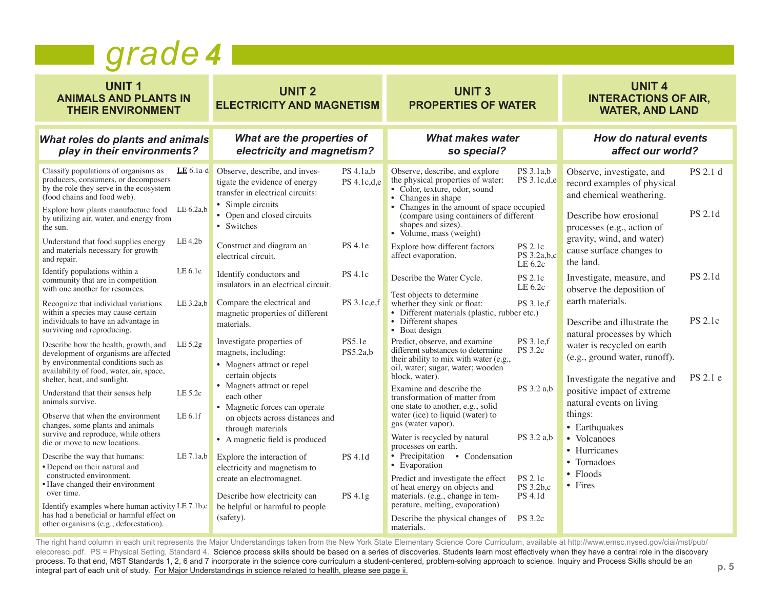#### *grade 4*

| <b>UNIT1</b><br><b>ANIMALS AND PLANTS IN</b><br><b>THEIR ENVIRONMENT</b>                                                                                                                                                                                                                                                                                                                                                                                                                                                                                 | <b>UNIT 2</b><br><b>ELECTRICITY AND MAGNETISM</b>                                                                                                                                                                                                                                                                                      |                                     | <b>UNIT 3</b><br><b>PROPERTIES OF WATER</b>                                                                                                                                                                                                                                                                                                                                                                                                 |                                                                 | <b>UNIT 4</b><br><b>INTERACTIONS OF AIR,</b><br><b>WATER, AND LAND</b>                                                                                                                                                                                                                       |                            |
|----------------------------------------------------------------------------------------------------------------------------------------------------------------------------------------------------------------------------------------------------------------------------------------------------------------------------------------------------------------------------------------------------------------------------------------------------------------------------------------------------------------------------------------------------------|----------------------------------------------------------------------------------------------------------------------------------------------------------------------------------------------------------------------------------------------------------------------------------------------------------------------------------------|-------------------------------------|---------------------------------------------------------------------------------------------------------------------------------------------------------------------------------------------------------------------------------------------------------------------------------------------------------------------------------------------------------------------------------------------------------------------------------------------|-----------------------------------------------------------------|----------------------------------------------------------------------------------------------------------------------------------------------------------------------------------------------------------------------------------------------------------------------------------------------|----------------------------|
| What roles do plants and animals<br>play in their environments?                                                                                                                                                                                                                                                                                                                                                                                                                                                                                          | What are the properties of<br>electricity and magnetism?                                                                                                                                                                                                                                                                               |                                     | <b>What makes water</b><br>so special?                                                                                                                                                                                                                                                                                                                                                                                                      |                                                                 | <b>How do natural events</b><br>affect our world?                                                                                                                                                                                                                                            |                            |
| Classify populations of organisms as<br>$LE 6.1a-d$<br>producers, consumers, or decomposers<br>by the role they serve in the ecosystem<br>(food chains and food web).<br>Explore how plants manufacture food LE 6.2a,b<br>by utilizing air, water, and energy from<br>the sun.<br>LE 4.2b<br>Understand that food supplies energy<br>and materials necessary for growth<br>and repair.                                                                                                                                                                   | Observe, describe, and inves-<br>tigate the evidence of energy<br>transfer in electrical circuits:<br>• Simple circuits<br>• Open and closed circuits<br>• Switches<br>Construct and diagram an<br>electrical circuit.                                                                                                                 | PS 4.1a,b<br>PS 4.1c.d.e<br>PS 4.1e | Observe, describe, and explore<br>the physical properties of water:<br>• Color, texture, odor, sound<br>• Changes in shape<br>• Changes in the amount of space occupied<br>(compare using containers of different<br>shapes and sizes).<br>• Volume, mass (weight)<br>Explore how different factors<br>affect evaporation.                                                                                                                  | PS 3.1a,b<br>PS 3.1c,d,e<br>PS 2.1c<br>PS 3.2a,b,c<br>LE 6.2c   | Observe, investigate, and<br>record examples of physical<br>and chemical weathering.<br>Describe how erosional<br>processes (e.g., action of<br>gravity, wind, and water)<br>cause surface changes to<br>the land.                                                                           | PS 2.1 d<br><b>PS 2.1d</b> |
| LE 6.1e<br>Identify populations within a<br>community that are in competition<br>with one another for resources.<br>Recognize that individual variations<br>LE $3.2a,b$<br>within a species may cause certain<br>individuals to have an advantage in<br>surviving and reproducing.                                                                                                                                                                                                                                                                       | Identify conductors and<br>insulators in an electrical circuit.<br>Compare the electrical and<br>magnetic properties of different<br>materials.                                                                                                                                                                                        | <b>PS</b> 4.1c<br>PS 3.1c,e,f       | Describe the Water Cycle.<br>Test objects to determine<br>whether they sink or float:<br>• Different materials (plastic, rubber etc.)<br>• Different shapes<br>• Boat design                                                                                                                                                                                                                                                                | PS 2.1c<br>LE 6.2c<br>PS 3.1e,f                                 | Investigate, measure, and<br>observe the deposition of<br>earth materials.<br>Describe and illustrate the                                                                                                                                                                                    | PS 2.1d<br><b>PS 2.1c</b>  |
| Describe how the health, growth, and<br>LE $5.2g$<br>development of organisms are affected<br>by environmental conditions such as<br>availability of food, water, air, space,<br>shelter, heat, and sunlight.<br>LE 5.2c<br>Understand that their senses help<br>animals survive.<br>LE 6.1f<br>Observe that when the environment<br>changes, some plants and animals<br>survive and reproduce, while others<br>die or move to new locations.<br>LE 7.1a,b<br>Describe the way that humans:<br>• Depend on their natural and<br>constructed environment. | Investigate properties of<br>magnets, including:<br>• Magnets attract or repel<br>certain objects<br>• Magnets attract or repel<br>each other<br>• Magnetic forces can operate<br>on objects across distances and<br>through materials<br>• A magnetic field is produced<br>Explore the interaction of<br>electricity and magnetism to | PS5.1e<br>PS5.2a,b<br>PS 4.1d       | Predict, observe, and examine<br>different substances to determine<br>their ability to mix with water (e.g.,<br>oil, water; sugar, water; wooden<br>block, water).<br>Examine and describe the<br>transformation of matter from<br>one state to another, e.g., solid<br>water (ice) to liquid (water) to<br>gas (water vapor).<br>Water is recycled by natural<br>processes on earth.<br>• Precipitation<br>• Condensation<br>• Evaporation | PS 3.1e,f<br><b>PS</b> 3.2c<br>PS 3.2 a,b<br>PS 3.2 a,b         | natural processes by which<br>water is recycled on earth<br>(e.g., ground water, runoff).<br>Investigate the negative and<br>positive impact of extreme<br>natural events on living<br>things:<br>• Earthquakes<br>Volcanoes<br>$\bullet$<br>• Hurricanes<br>• Tornadoes<br>$\bullet$ Floods | PS 2.1 e                   |
| • Have changed their environment<br>over time.<br>Identify examples where human activity LE 7.1b,c<br>has had a beneficial or harmful effect on<br>other organisms (e.g., deforestation).                                                                                                                                                                                                                                                                                                                                                                | create an electromagnet.<br>Describe how electricity can<br>be helpful or harmful to people<br>(safety).                                                                                                                                                                                                                               | PS 4.1g                             | Predict and investigate the effect<br>of heat energy on objects and<br>materials. (e.g., change in tem-<br>perature, melting, evaporation)<br>Describe the physical changes of<br>materials.                                                                                                                                                                                                                                                | <b>PS</b> 2.1c<br>PS 3.2b,c<br><b>PS</b> 4.1d<br><b>PS</b> 3.2c | $\bullet$ Fires                                                                                                                                                                                                                                                                              |                            |

The right hand column in each unit represents the Major Understandings taken from the New York State Elementary Science Core Curriculum, available at http://www.emsc.nysed.gov/ciai/mst/pub/ elecoresci.pdf. PS = Physical Setting, Standard 4. Science process skills should be based on a series of discoveries. Students learn most effectively when they have a central role in the discovery electroprocess. To that end, MST Standards 1, 2, 6 and 7 incorporate in the science core curriculum a student-centered, problem-solving approach to science. Inquiry and Process Skills should be an integral part of each unit of study. For Major Understandings in science related to health, please see page ii.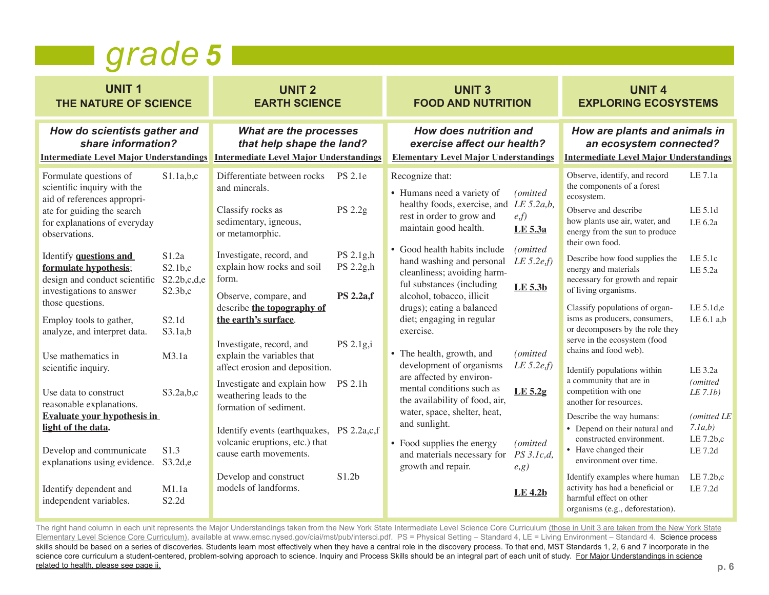#### *grade 5*

| <b>UNIT1</b><br>THE NATURE OF SCIENCE                                                                                                                                                                                                                                                                                                                                                                                                                                                                                                                                                                                                           |                                                                                                                                                    | <b>UNIT 2</b><br><b>EARTH SCIENCE</b>                                                                                                                                                                                                                                                                                                                                                                                                                                                                                                                                                                      |                                                                                                   | <b>UNIT 3</b><br><b>FOOD AND NUTRITION</b> |                                                                                                                                                                                                                                                                                                                                                                                                                                                                                                                                                                                                                                                                                   | <b>UNIT 4</b><br><b>EXPLORING ECOSYSTEMS</b>                                                                                                   |                                                                                                                                                                                                                                                                                                                                                                                                                                                                                                                                                                                                                                                                                                                                                                                                                                                                         |                                                                                                                                                                                               |
|-------------------------------------------------------------------------------------------------------------------------------------------------------------------------------------------------------------------------------------------------------------------------------------------------------------------------------------------------------------------------------------------------------------------------------------------------------------------------------------------------------------------------------------------------------------------------------------------------------------------------------------------------|----------------------------------------------------------------------------------------------------------------------------------------------------|------------------------------------------------------------------------------------------------------------------------------------------------------------------------------------------------------------------------------------------------------------------------------------------------------------------------------------------------------------------------------------------------------------------------------------------------------------------------------------------------------------------------------------------------------------------------------------------------------------|---------------------------------------------------------------------------------------------------|--------------------------------------------|-----------------------------------------------------------------------------------------------------------------------------------------------------------------------------------------------------------------------------------------------------------------------------------------------------------------------------------------------------------------------------------------------------------------------------------------------------------------------------------------------------------------------------------------------------------------------------------------------------------------------------------------------------------------------------------|------------------------------------------------------------------------------------------------------------------------------------------------|-------------------------------------------------------------------------------------------------------------------------------------------------------------------------------------------------------------------------------------------------------------------------------------------------------------------------------------------------------------------------------------------------------------------------------------------------------------------------------------------------------------------------------------------------------------------------------------------------------------------------------------------------------------------------------------------------------------------------------------------------------------------------------------------------------------------------------------------------------------------------|-----------------------------------------------------------------------------------------------------------------------------------------------------------------------------------------------|
| How do scientists gather and<br>share information?<br><b>Intermediate Level Major Understandings</b>                                                                                                                                                                                                                                                                                                                                                                                                                                                                                                                                            |                                                                                                                                                    | What are the processes<br>that help shape the land?<br><b>Intermediate Level Major Understandings</b>                                                                                                                                                                                                                                                                                                                                                                                                                                                                                                      |                                                                                                   |                                            | How does nutrition and<br>exercise affect our health?<br><b>Elementary Level Major Understandings</b>                                                                                                                                                                                                                                                                                                                                                                                                                                                                                                                                                                             |                                                                                                                                                | How are plants and animals in<br>an ecosystem connected?<br><b>Intermediate Level Major Understandings</b>                                                                                                                                                                                                                                                                                                                                                                                                                                                                                                                                                                                                                                                                                                                                                              |                                                                                                                                                                                               |
| Formulate questions of<br>scientific inquiry with the<br>aid of references appropri-<br>ate for guiding the search<br>for explanations of everyday<br>observations.<br>Identify questions and<br>formulate hypothesis;<br>design and conduct scientific<br>investigations to answer<br>those questions.<br>Employ tools to gather,<br>analyze, and interpret data.<br>Use mathematics in<br>scientific inquiry.<br>Use data to construct<br>reasonable explanations.<br><b>Evaluate your hypothesis in</b><br>light of the data.<br>Develop and communicate<br>explanations using evidence.<br>Identify dependent and<br>independent variables. | S1.1a,b,c<br>S1.2a<br>S2.1b,c<br>S2.2b,c,d,e<br>S2.3b,c<br>S2.1d<br>S3.1a,b<br>M3.1a<br>S3.2a,b,c<br>S <sub>1.3</sub><br>S3.2d,e<br>M1.1a<br>S2.2d | Differentiate between rocks<br>and minerals.<br>Classify rocks as<br>sedimentary, igneous,<br>or metamorphic.<br>Investigate, record, and<br>explain how rocks and soil<br>form.<br>Observe, compare, and<br>describe the topography of<br>the earth's surface.<br>Investigate, record, and<br>explain the variables that<br>affect erosion and deposition.<br>Investigate and explain how<br>weathering leads to the<br>formation of sediment.<br>Identify events (earthquakes, PS 2.2a,c,f)<br>volcanic eruptions, etc.) that<br>cause earth movements.<br>Develop and construct<br>models of landforms. | PS 2.1e<br>PS 2.2g<br>PS 2.1g,h<br>PS 2.2g,h<br><b>PS 2.2a,f</b><br>PS 2.1g,i<br>PS 2.1h<br>S1.2b |                                            | Recognize that:<br>• Humans need a variety of<br>healthy foods, exercise, and LE 5.2a,b,<br>rest in order to grow and<br>maintain good health.<br>• Good health habits include<br>hand washing and personal<br>cleanliness; avoiding harm-<br>ful substances (including<br>alcohol, tobacco, illicit<br>drugs); eating a balanced<br>diet; engaging in regular<br>exercise.<br>• The health, growth, and<br>development of organisms<br>are affected by environ-<br>mental conditions such as<br>the availability of food, air,<br>water, space, shelter, heat,<br>and sunlight.<br>• Food supplies the energy<br>and materials necessary for $PS 3.1c,d$ ,<br>growth and repair. | (omitted<br>e,f<br>LE 5.3a<br>(omitted<br>LE 5.2e,f<br>LE 5.3b<br>(omitted)<br>LE $5.2e,f$<br>$LE$ 5.2g<br>(omitted<br>e, g)<br><b>LE 4.2b</b> | Observe, identify, and record<br>the components of a forest<br>ecosystem.<br>Observe and describe<br>how plants use air, water, and<br>energy from the sun to produce<br>their own food.<br>Describe how food supplies the<br>energy and materials<br>necessary for growth and repair<br>of living organisms.<br>Classify populations of organ-<br>isms as producers, consumers,<br>or decomposers by the role they<br>serve in the ecosystem (food<br>chains and food web).<br>Identify populations within<br>a community that are in<br>competition with one<br>another for resources.<br>Describe the way humans:<br>• Depend on their natural and<br>constructed environment.<br>• Have changed their<br>environment over time.<br>Identify examples where human<br>activity has had a beneficial or<br>harmful effect on other<br>organisms (e.g., deforestation). | LE 7.1a<br>LE 5.1d<br>LE 6.2a<br>LE 5.1c<br>LE 5.2a<br>LE 5.1d,e<br>$LE 6.1$ a.b<br>LE 3.2a<br>(omitted<br>LE 7.1b)<br>(omitted LE<br>7.1a,b)<br>LE 7.2b,c<br>LE 7.2d<br>LE 7.2b,c<br>LE 7.2d |

The right hand column in each unit represents the Major Understandings taken from the New York State Intermediate Level Science Core Curriculum (those in Unit 3 are taken from the New York State Elementary Level Science Core Curriculum), available at www.emsc.nysed.gov/ciai/mst/pub/intersci.pdf. PS = Physical Setting – Standard 4, LE = Living Environment – Standard 4. Science process skills should be based on a series of discoveries. Students learn most effectively when they have a central role in the discovery process. To that end, MST Standards 1, 2, 6 and 7 incorporate in the science core curriculum a student-centered, problem-solving approach to science. Inquiry and Process Skills should be an integral part of each unit of study. For Major Understandings in science related to health, please see page ii.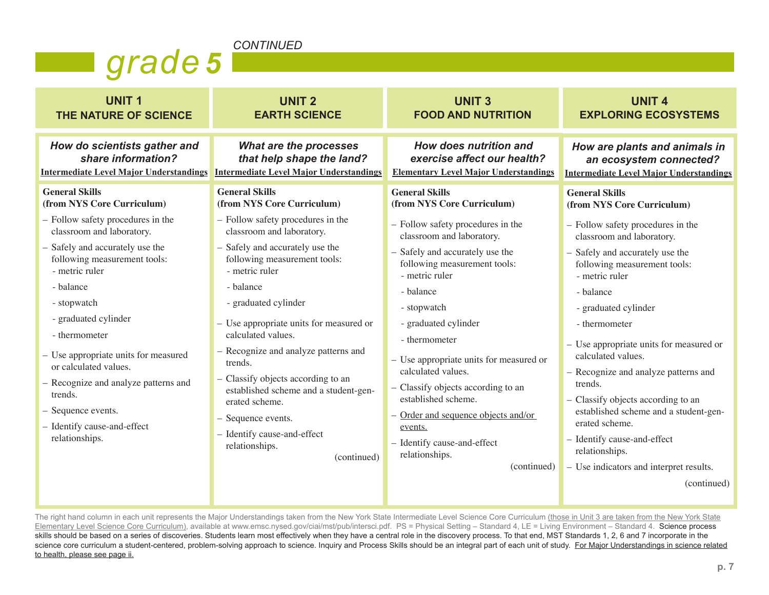#### *CONTINUED*

| Igrade 5 |  |
|----------|--|
|          |  |
|          |  |

| <b>UNIT1</b>                                                                                                                                                                                                                                                                                                                                                                                                                                                               | <b>UNIT 2</b>                                                                                                                                                                                                                                                                                                                                                                                                                                                                                                                                              | <b>UNIT3</b>                                                                                                                                                                                                                                                                                                                                                                                                                                                                                                                    | <b>UNIT 4</b>                                                                                                                                                                                                                                                                                                                                                                                                                                                                                                                                                                     |
|----------------------------------------------------------------------------------------------------------------------------------------------------------------------------------------------------------------------------------------------------------------------------------------------------------------------------------------------------------------------------------------------------------------------------------------------------------------------------|------------------------------------------------------------------------------------------------------------------------------------------------------------------------------------------------------------------------------------------------------------------------------------------------------------------------------------------------------------------------------------------------------------------------------------------------------------------------------------------------------------------------------------------------------------|---------------------------------------------------------------------------------------------------------------------------------------------------------------------------------------------------------------------------------------------------------------------------------------------------------------------------------------------------------------------------------------------------------------------------------------------------------------------------------------------------------------------------------|-----------------------------------------------------------------------------------------------------------------------------------------------------------------------------------------------------------------------------------------------------------------------------------------------------------------------------------------------------------------------------------------------------------------------------------------------------------------------------------------------------------------------------------------------------------------------------------|
| THE NATURE OF SCIENCE                                                                                                                                                                                                                                                                                                                                                                                                                                                      | <b>EARTH SCIENCE</b>                                                                                                                                                                                                                                                                                                                                                                                                                                                                                                                                       | <b>FOOD AND NUTRITION</b>                                                                                                                                                                                                                                                                                                                                                                                                                                                                                                       | <b>EXPLORING ECOSYSTEMS</b>                                                                                                                                                                                                                                                                                                                                                                                                                                                                                                                                                       |
| How do scientists gather and                                                                                                                                                                                                                                                                                                                                                                                                                                               | What are the processes                                                                                                                                                                                                                                                                                                                                                                                                                                                                                                                                     | How does nutrition and                                                                                                                                                                                                                                                                                                                                                                                                                                                                                                          | How are plants and animals in                                                                                                                                                                                                                                                                                                                                                                                                                                                                                                                                                     |
| share information?                                                                                                                                                                                                                                                                                                                                                                                                                                                         | that help shape the land?                                                                                                                                                                                                                                                                                                                                                                                                                                                                                                                                  | exercise affect our health?                                                                                                                                                                                                                                                                                                                                                                                                                                                                                                     | an ecosystem connected?                                                                                                                                                                                                                                                                                                                                                                                                                                                                                                                                                           |
| <b>Intermediate Level Major Understandings</b>                                                                                                                                                                                                                                                                                                                                                                                                                             | <b>Intermediate Level Major Understandings</b>                                                                                                                                                                                                                                                                                                                                                                                                                                                                                                             | <b>Elementary Level Major Understandings</b>                                                                                                                                                                                                                                                                                                                                                                                                                                                                                    | <b>Intermediate Level Major Understandings</b>                                                                                                                                                                                                                                                                                                                                                                                                                                                                                                                                    |
| <b>General Skills</b><br>(from NYS Core Curriculum)<br>- Follow safety procedures in the<br>classroom and laboratory.<br>- Safely and accurately use the<br>following measurement tools:<br>- metric ruler<br>- balance<br>- stopwatch<br>- graduated cylinder<br>- thermometer<br>- Use appropriate units for measured<br>or calculated values.<br>- Recognize and analyze patterns and<br>trends.<br>- Sequence events.<br>- Identify cause-and-effect<br>relationships. | <b>General Skills</b><br>(from NYS Core Curriculum)<br>- Follow safety procedures in the<br>classroom and laboratory.<br>- Safely and accurately use the<br>following measurement tools:<br>- metric ruler<br>- balance<br>- graduated cylinder<br>- Use appropriate units for measured or<br>calculated values.<br>- Recognize and analyze patterns and<br>trends.<br>- Classify objects according to an<br>established scheme and a student-gen-<br>erated scheme.<br>- Sequence events.<br>- Identify cause-and-effect<br>relationships.<br>(continued) | <b>General Skills</b><br>(from NYS Core Curriculum)<br>- Follow safety procedures in the<br>classroom and laboratory.<br>- Safely and accurately use the<br>following measurement tools:<br>- metric ruler<br>- balance<br>- stopwatch<br>- graduated cylinder<br>- thermometer<br>- Use appropriate units for measured or<br>calculated values.<br>- Classify objects according to an<br>established scheme.<br>- Order and sequence objects and/or<br>events.<br>- Identify cause-and-effect<br>relationships.<br>(continued) | <b>General Skills</b><br>(from NYS Core Curriculum)<br>- Follow safety procedures in the<br>classroom and laboratory.<br>- Safely and accurately use the<br>following measurement tools:<br>- metric ruler<br>- balance<br>- graduated cylinder<br>- thermometer<br>- Use appropriate units for measured or<br>calculated values.<br>- Recognize and analyze patterns and<br>trends.<br>- Classify objects according to an<br>established scheme and a student-gen-<br>erated scheme.<br>- Identify cause-and-effect<br>relationships.<br>- Use indicators and interpret results. |
|                                                                                                                                                                                                                                                                                                                                                                                                                                                                            |                                                                                                                                                                                                                                                                                                                                                                                                                                                                                                                                                            |                                                                                                                                                                                                                                                                                                                                                                                                                                                                                                                                 | (continued)                                                                                                                                                                                                                                                                                                                                                                                                                                                                                                                                                                       |

The right hand column in each unit represents the Major Understandings taken from the New York State Intermediate Level Science Core Curriculum (those in Unit 3 are taken from the New York State Elementary Level Science Core Curriculum), available at www.emsc.nysed.gov/ciai/mst/pub/intersci.pdf. PS = Physical Setting – Standard 4, LE = Living Environment – Standard 4. Science process skills should be based on a series of discoveries. Students learn most effectively when they have a central role in the discovery process. To that end, MST Standards 1, 2, 6 and 7 incorporate in the science core curriculum a student-centered, problem-solving approach to science. Inquiry and Process Skills should be an integral part of each unit of study. For Major Understandings in science related to health, please see page ii.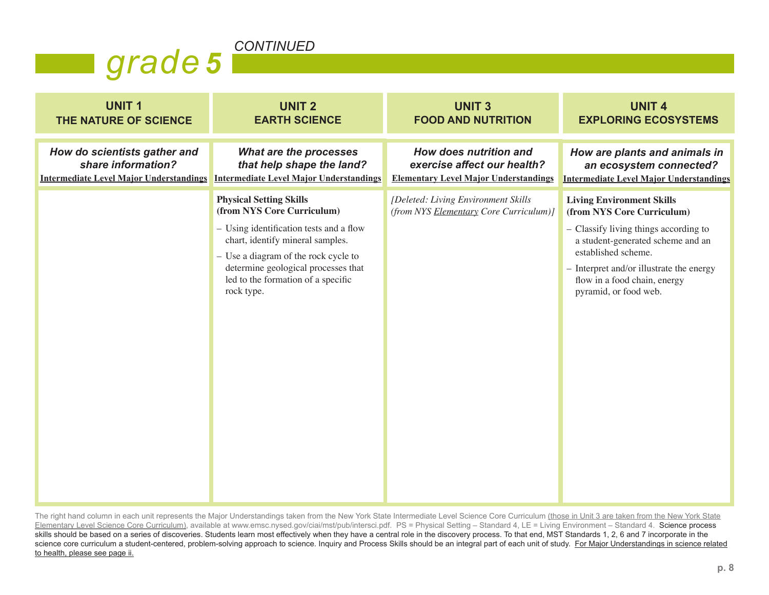

| <b>UNIT1</b>                                   | <b>UNIT 2</b>                                                                                                                                                                                                                                                                  | <b>UNIT3</b>                                                                  | <b>UNIT 4</b>                                                                                                                                                                                                                                                              |
|------------------------------------------------|--------------------------------------------------------------------------------------------------------------------------------------------------------------------------------------------------------------------------------------------------------------------------------|-------------------------------------------------------------------------------|----------------------------------------------------------------------------------------------------------------------------------------------------------------------------------------------------------------------------------------------------------------------------|
| THE NATURE OF SCIENCE                          | <b>EARTH SCIENCE</b>                                                                                                                                                                                                                                                           | <b>FOOD AND NUTRITION</b>                                                     | <b>EXPLORING ECOSYSTEMS</b>                                                                                                                                                                                                                                                |
| How do scientists gather and                   | What are the processes                                                                                                                                                                                                                                                         | How does nutrition and                                                        | How are plants and animals in                                                                                                                                                                                                                                              |
| share information?                             | that help shape the land?                                                                                                                                                                                                                                                      | exercise affect our health?                                                   | an ecosystem connected?                                                                                                                                                                                                                                                    |
| <b>Intermediate Level Major Understandings</b> | <b>Intermediate Level Major Understandings</b>                                                                                                                                                                                                                                 | <b>Elementary Level Major Understandings</b>                                  | <b>Intermediate Level Major Understandings</b>                                                                                                                                                                                                                             |
|                                                | <b>Physical Setting Skills</b><br>(from NYS Core Curriculum)<br>- Using identification tests and a flow<br>chart, identify mineral samples.<br>- Use a diagram of the rock cycle to<br>determine geological processes that<br>led to the formation of a specific<br>rock type. | [Deleted: Living Environment Skills<br>(from NYS Elementary Core Curriculum)] | <b>Living Environment Skills</b><br>(from NYS Core Curriculum)<br>- Classify living things according to<br>a student-generated scheme and an<br>established scheme.<br>$-$ Interpret and/or illustrate the energy<br>flow in a food chain, energy<br>pyramid, or food web. |

The right hand column in each unit represents the Major Understandings taken from the New York State Intermediate Level Science Core Curriculum (those in Unit 3 are taken from the New York State Elementary Level Science Core Curriculum), available at www.emsc.nysed.gov/ciai/mst/pub/intersci.pdf. PS = Physical Setting – Standard 4, LE = Living Environment – Standard 4. Science process skills should be based on a series of discoveries. Students learn most effectively when they have a central role in the discovery process. To that end, MST Standards 1, 2, 6 and 7 incorporate in the science core curriculum a student-centered, problem-solving approach to science. Inquiry and Process Skills should be an integral part of each unit of study. For Major Understandings in science related to health, please see page ii.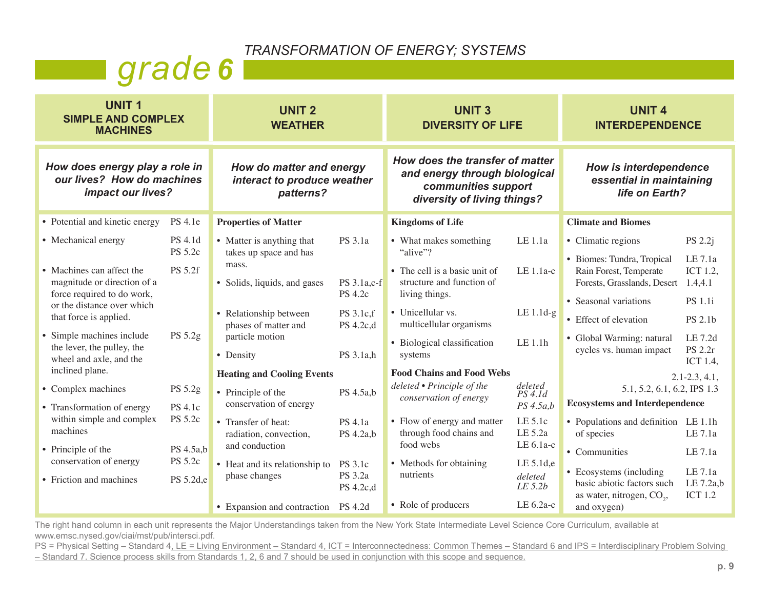*TRANSFORMATION OF ENERGY; SYSTEMS*

## **grade** 6

| <b>UNIT1</b><br><b>SIMPLE AND COMPLEX</b><br><b>MACHINES</b>                                                                                                          |                                             | <b>UNIT 2</b><br><b>WEATHER</b>                                                                                        |                                                       | <b>UNIT 3</b><br><b>DIVERSITY OF LIFE</b>                                                                                               |                                                | <b>UNIT 4</b><br><b>INTERDEPENDENCE</b>                                                                                                                     |                                                                        |
|-----------------------------------------------------------------------------------------------------------------------------------------------------------------------|---------------------------------------------|------------------------------------------------------------------------------------------------------------------------|-------------------------------------------------------|-----------------------------------------------------------------------------------------------------------------------------------------|------------------------------------------------|-------------------------------------------------------------------------------------------------------------------------------------------------------------|------------------------------------------------------------------------|
| How does energy play a role in<br>our lives? How do machines<br>impact our lives?                                                                                     |                                             | How do matter and energy<br>interact to produce weather<br>patterns?                                                   |                                                       | How does the transfer of matter<br>and energy through biological<br>communities support<br>diversity of living things?                  |                                                | How is interdependence<br>essential in maintaining<br>life on Earth?                                                                                        |                                                                        |
| • Potential and kinetic energy                                                                                                                                        | <b>PS</b> 4.1e                              | <b>Properties of Matter</b>                                                                                            |                                                       | <b>Kingdoms of Life</b>                                                                                                                 |                                                | <b>Climate and Biomes</b>                                                                                                                                   |                                                                        |
| • Mechanical energy<br>• Machines can affect the<br>magnitude or direction of a<br>force required to do work,<br>or the distance over which<br>that force is applied. | <b>PS</b> 4.1d<br><b>PS 5.2c</b><br>PS 5.2f | • Matter is anything that<br>takes up space and has<br>mass.<br>• Solids, liquids, and gases<br>• Relationship between | PS 3.1a<br>PS 3.1a,c-f<br><b>PS 4.2c</b><br>PS 3.1c,f | • What makes something<br>"alive"?<br>• The cell is a basic unit of<br>structure and function of<br>living things.<br>• Unicellular vs. | LE 1.1a<br>LE 1.1a-c<br>$LE 1.1d-g$            | • Climatic regions<br>• Biomes: Tundra, Tropical<br>Rain Forest, Temperate<br>Forests, Grasslands, Desert<br>• Seasonal variations<br>• Effect of elevation | PS 2.2j<br>LE 7.1a<br>ICT 1.2,<br>1.4,4.1<br><b>PS</b> 1.1i<br>PS 2.1b |
| • Simple machines include<br>the lever, the pulley, the<br>wheel and axle, and the<br>inclined plane.                                                                 | PS 5.2g                                     | phases of matter and<br>particle motion<br>• Density<br><b>Heating and Cooling Events</b>                              | PS 4.2c,d<br>PS 3.1a,h                                | multicellular organisms<br>• Biological classification<br>systems<br><b>Food Chains and Food Webs</b>                                   | LE 1.1h                                        | • Global Warming: natural<br>cycles vs. human impact                                                                                                        | LE 7.2d<br><b>PS 2.2r</b><br>ICT 1.4,<br>$2.1 - 2.3, 4.1,$             |
| • Complex machines<br>• Transformation of energy                                                                                                                      | PS 5.2g<br>PS 4.1c                          | • Principle of the<br>conservation of energy                                                                           | PS 4.5a,b                                             | deleted • Principle of the<br>conservation of energy                                                                                    | deleted<br>$PS$ 4.1d<br>PS 4.5a,b              | 5.1, 5.2, 6.1, 6.2, IPS 1.3<br><b>Ecosystems and Interdependence</b>                                                                                        |                                                                        |
| within simple and complex<br>machines                                                                                                                                 | PS 5.2c                                     | • Transfer of heat:<br>radiation, convection,                                                                          | <b>PS</b> 4.1a<br>PS 4.2a,b                           | • Flow of energy and matter<br>through food chains and<br>food webs                                                                     | LE 5.1c<br>LE 5.2a<br>LE 6.1a-c                | • Populations and definition LE 1.1h<br>of species                                                                                                          | LE 7.1a                                                                |
| • Principle of the<br>conservation of energy<br>• Friction and machines                                                                                               | PS 4.5a,b<br>PS 5.2c<br>PS 5.2d,e           | and conduction<br>• Heat and its relationship to<br>phase changes<br>• Expansion and contraction PS 4.2d               | <b>PS</b> 3.1c<br>PS 3.2a<br>PS 4.2c,d                | • Methods for obtaining<br>nutrients<br>• Role of producers                                                                             | LE 5.1d,e<br>deleted<br>LE 5.2b<br>LE $6.2a-c$ | • Communities<br>• Ecosystems (including<br>basic abiotic factors such<br>as water, nitrogen, CO <sub>2</sub> ,<br>and oxygen)                              | LE 7.1a<br>LE 7.1a<br>LE 7.2a,b<br><b>ICT 1.2</b>                      |

The right hand column in each unit represents the Major Understandings taken from the New York State Intermediate Level Science Core Curriculum, available at www.emsc.nysed.gov/ciai/mst/pub/intersci.pdf.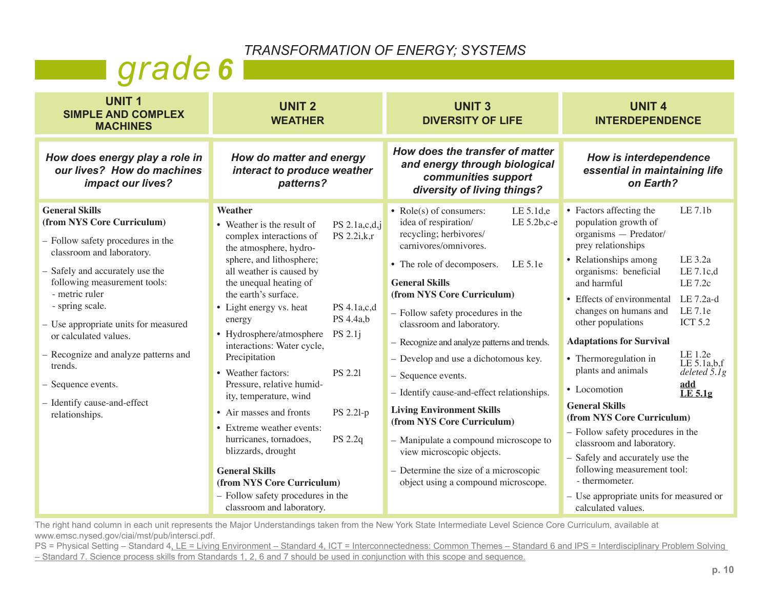*TRANSFORMATION OF ENERGY; SYSTEMS*

## *grade 6*

| <b>UNIT1</b><br><b>SIMPLE AND COMPLEX</b><br><b>MACHINES</b>                                                                                                                                                                                                                                                                                                                                                 | <b>UNIT 2</b><br><b>WEATHER</b>                                                                                                                                                                                                                                                                                                                                                                                                                                                                                                                                                                                                                                                                                                                       | <b>UNIT 3</b><br><b>DIVERSITY OF LIFE</b>                                                                                                                                                                                                                                                                                                                                                                                                                                                                                                                                                                                                                                                      | <b>UNIT 4</b><br><b>INTERDEPENDENCE</b>                                                                                                                                                                                                                                                                                                                                                                                                                                                                                                                                                                                                                                                                                                                                               |
|--------------------------------------------------------------------------------------------------------------------------------------------------------------------------------------------------------------------------------------------------------------------------------------------------------------------------------------------------------------------------------------------------------------|-------------------------------------------------------------------------------------------------------------------------------------------------------------------------------------------------------------------------------------------------------------------------------------------------------------------------------------------------------------------------------------------------------------------------------------------------------------------------------------------------------------------------------------------------------------------------------------------------------------------------------------------------------------------------------------------------------------------------------------------------------|------------------------------------------------------------------------------------------------------------------------------------------------------------------------------------------------------------------------------------------------------------------------------------------------------------------------------------------------------------------------------------------------------------------------------------------------------------------------------------------------------------------------------------------------------------------------------------------------------------------------------------------------------------------------------------------------|---------------------------------------------------------------------------------------------------------------------------------------------------------------------------------------------------------------------------------------------------------------------------------------------------------------------------------------------------------------------------------------------------------------------------------------------------------------------------------------------------------------------------------------------------------------------------------------------------------------------------------------------------------------------------------------------------------------------------------------------------------------------------------------|
| How does energy play a role in<br>our lives? How do machines<br>impact our lives?                                                                                                                                                                                                                                                                                                                            | How do matter and energy<br>interact to produce weather<br>patterns?                                                                                                                                                                                                                                                                                                                                                                                                                                                                                                                                                                                                                                                                                  | How does the transfer of matter<br>and energy through biological<br>communities support<br>diversity of living things?                                                                                                                                                                                                                                                                                                                                                                                                                                                                                                                                                                         | How is interdependence<br>essential in maintaining life<br>on Earth?                                                                                                                                                                                                                                                                                                                                                                                                                                                                                                                                                                                                                                                                                                                  |
| <b>General Skills</b><br>(from NYS Core Curriculum)<br>Follow safety procedures in the<br>classroom and laboratory.<br>Safely and accurately use the<br>following measurement tools:<br>- metric ruler<br>- spring scale.<br>Use appropriate units for measured<br>or calculated values.<br>Recognize and analyze patterns and<br>trends.<br>Sequence events.<br>Identify cause-and-effect<br>relationships. | Weather<br>• Weather is the result of<br>PS $2.1a,c,d,j$<br>PS 2.2i,k,r<br>complex interactions of<br>the atmosphere, hydro-<br>sphere, and lithosphere;<br>all weather is caused by<br>the unequal heating of<br>the earth's surface.<br>• Light energy vs. heat<br>PS 4.1a,c,d<br>PS 4.4a,b<br>energy<br>• Hydrosphere/atmosphere<br>PS 2.1j<br>interactions: Water cycle,<br>Precipitation<br>• Weather factors:<br><b>PS 2.21</b><br>Pressure, relative humid-<br>ity, temperature, wind<br>• Air masses and fronts<br>PS 2.21-p<br>• Extreme weather events:<br>hurricanes, tornadoes,<br>PS 2.2q<br>blizzards, drought<br><b>General Skills</b><br>(from NYS Core Curriculum)<br>- Follow safety procedures in the<br>classroom and laboratory. | LE 5.1d,e<br>• Role(s) of consumers:<br>idea of respiration/<br>LE $5.2b$ , $c$ - $e$<br>recycling; herbivores/<br>carnivores/omnivores.<br>• The role of decomposers.<br>LE 5.1e<br><b>General Skills</b><br>(from NYS Core Curriculum)<br>- Follow safety procedures in the<br>classroom and laboratory.<br>- Recognize and analyze patterns and trends.<br>- Develop and use a dichotomous key.<br>- Sequence events.<br>- Identify cause-and-effect relationships.<br><b>Living Environment Skills</b><br>(from NYS Core Curriculum)<br>- Manipulate a compound microscope to<br>view microscopic objects.<br>- Determine the size of a microscopic<br>object using a compound microscope. | LE 7.1b<br>• Factors affecting the<br>population growth of<br>organisms - Predator/<br>prey relationships<br>• Relationships among<br>LE 3.2a<br>LE $7.1c,d$<br>organisms: beneficial<br>and harmful<br>LE 7.2c<br>• Effects of environmental<br>LE 7.2a-d<br>LE 7.1e<br>changes on humans and<br>other populations<br><b>ICT 5.2</b><br><b>Adaptations for Survival</b><br>LE 1.2e<br>• Thermoregulation in<br>LE $5.1a,b,f$<br>plants and animals<br>deleted $5.1g$<br>add<br>• Locomotion<br>LE 5.1g<br><b>General Skills</b><br>(from NYS Core Curriculum)<br>- Follow safety procedures in the<br>classroom and laboratory.<br>- Safely and accurately use the<br>following measurement tool:<br>- thermometer.<br>- Use appropriate units for measured or<br>calculated values. |

The right hand column in each unit represents the Major Understandings taken from the New York State Intermediate Level Science Core Curriculum, available at www.emsc.nysed.gov/ciai/mst/pub/intersci.pdf.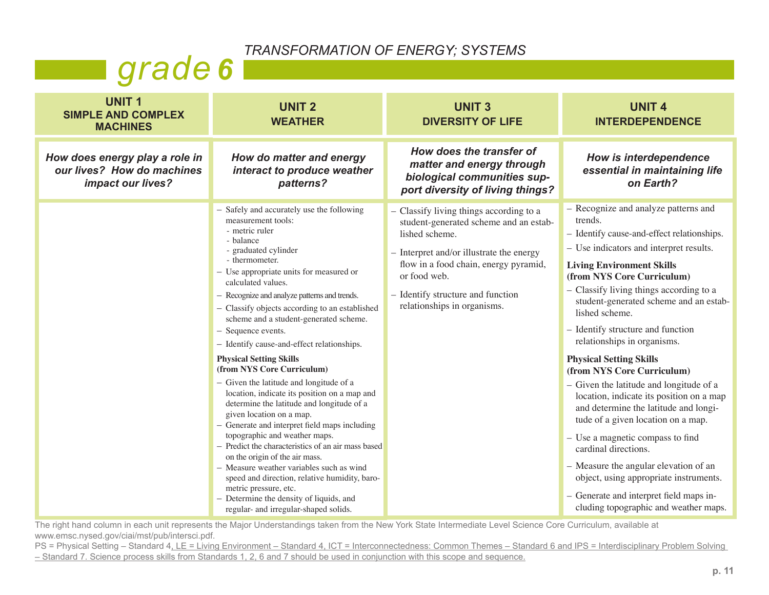*TRANSFORMATION OF ENERGY; SYSTEMS*

## *grade 6*

| <b>UNIT1</b><br><b>SIMPLE AND COMPLEX</b><br><b>MACHINES</b>                      | <b>UNIT 2</b><br><b>WEATHER</b>                                                                                                                                                                                                                                                                                                                                                                                                                                                                                                                                                                                                                                                                                                                                                                                                                                                                                                                                                                                                                   | <b>UNIT3</b><br><b>DIVERSITY OF LIFE</b>                                                                                                                                                                                                                                       | <b>UNIT 4</b><br><b>INTERDEPENDENCE</b>                                                                                                                                                                                                                                                                                                                                                                                                                                                                                                                                                                                                                                                                                                                                                                                                                        |
|-----------------------------------------------------------------------------------|---------------------------------------------------------------------------------------------------------------------------------------------------------------------------------------------------------------------------------------------------------------------------------------------------------------------------------------------------------------------------------------------------------------------------------------------------------------------------------------------------------------------------------------------------------------------------------------------------------------------------------------------------------------------------------------------------------------------------------------------------------------------------------------------------------------------------------------------------------------------------------------------------------------------------------------------------------------------------------------------------------------------------------------------------|--------------------------------------------------------------------------------------------------------------------------------------------------------------------------------------------------------------------------------------------------------------------------------|----------------------------------------------------------------------------------------------------------------------------------------------------------------------------------------------------------------------------------------------------------------------------------------------------------------------------------------------------------------------------------------------------------------------------------------------------------------------------------------------------------------------------------------------------------------------------------------------------------------------------------------------------------------------------------------------------------------------------------------------------------------------------------------------------------------------------------------------------------------|
| How does energy play a role in<br>our lives? How do machines<br>impact our lives? | How do matter and energy<br>interact to produce weather<br>patterns?                                                                                                                                                                                                                                                                                                                                                                                                                                                                                                                                                                                                                                                                                                                                                                                                                                                                                                                                                                              | How does the transfer of<br>matter and energy through<br>biological communities sup-<br>port diversity of living things?                                                                                                                                                       | How is interdependence<br>essential in maintaining life<br>on Earth?                                                                                                                                                                                                                                                                                                                                                                                                                                                                                                                                                                                                                                                                                                                                                                                           |
|                                                                                   | - Safely and accurately use the following<br>measurement tools:<br>- metric ruler<br>- balance<br>- graduated cylinder<br>- thermometer.<br>- Use appropriate units for measured or<br>calculated values.<br>- Recognize and analyze patterns and trends.<br>- Classify objects according to an established<br>scheme and a student-generated scheme.<br>- Sequence events.<br>- Identify cause-and-effect relationships.<br><b>Physical Setting Skills</b><br>(from NYS Core Curriculum)<br>- Given the latitude and longitude of a<br>location, indicate its position on a map and<br>determine the latitude and longitude of a<br>given location on a map.<br>- Generate and interpret field maps including<br>topographic and weather maps.<br>- Predict the characteristics of an air mass based<br>on the origin of the air mass.<br>- Measure weather variables such as wind<br>speed and direction, relative humidity, baro-<br>metric pressure, etc.<br>- Determine the density of liquids, and<br>regular- and irregular-shaped solids. | - Classify living things according to a<br>student-generated scheme and an estab-<br>lished scheme.<br>$-$ Interpret and/or illustrate the energy<br>flow in a food chain, energy pyramid,<br>or food web.<br>- Identify structure and function<br>relationships in organisms. | - Recognize and analyze patterns and<br>trends.<br>- Identify cause-and-effect relationships.<br>- Use indicators and interpret results.<br><b>Living Environment Skills</b><br>(from NYS Core Curriculum)<br>- Classify living things according to a<br>student-generated scheme and an estab-<br>lished scheme.<br>- Identify structure and function<br>relationships in organisms.<br><b>Physical Setting Skills</b><br>(from NYS Core Curriculum)<br>- Given the latitude and longitude of a<br>location, indicate its position on a map<br>and determine the latitude and longi-<br>tude of a given location on a map.<br>- Use a magnetic compass to find<br>cardinal directions.<br>- Measure the angular elevation of an<br>object, using appropriate instruments.<br>- Generate and interpret field maps in-<br>cluding topographic and weather maps. |

The right hand column in each unit represents the Major Understandings taken from the New York State Intermediate Level Science Core Curriculum, available at www.emsc.nysed.gov/ciai/mst/pub/intersci.pdf.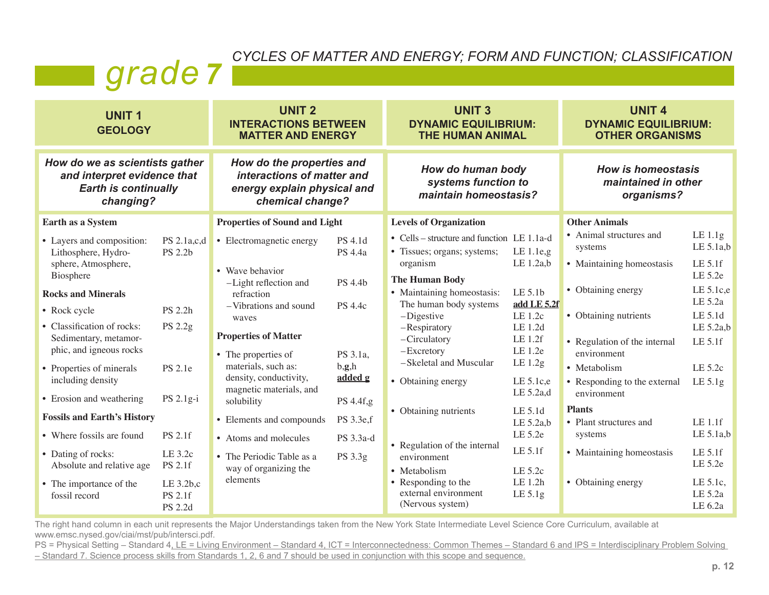## *CYCLES OF MATTER AND ENERGY; FORM AND FUNCTION; CLASSIFICATION grad de* 7

| <b>UNIT1</b><br><b>GEOLOGY</b>                                                                                                                                                                                                                  |                                                                       | <b>UNIT 2</b><br><b>INTERACTIONS BETWEEN</b><br><b>MATTER AND ENERGY</b>                                                                                                                          |                                                                        | <b>UNIT 3</b><br><b>DYNAMIC EQUILIBRIUM:</b><br><b>THE HUMAN ANIMAL</b>                                                                                                                                                                                            |                                                                                                                 | <b>UNIT 4</b><br><b>DYNAMIC EQUILIBRIUM:</b><br><b>OTHER ORGANISMS</b>                                                                                                        |                                                                                                                      |
|-------------------------------------------------------------------------------------------------------------------------------------------------------------------------------------------------------------------------------------------------|-----------------------------------------------------------------------|---------------------------------------------------------------------------------------------------------------------------------------------------------------------------------------------------|------------------------------------------------------------------------|--------------------------------------------------------------------------------------------------------------------------------------------------------------------------------------------------------------------------------------------------------------------|-----------------------------------------------------------------------------------------------------------------|-------------------------------------------------------------------------------------------------------------------------------------------------------------------------------|----------------------------------------------------------------------------------------------------------------------|
| How do we as scientists gather<br>and interpret evidence that<br><b>Earth is continually</b><br>changing?                                                                                                                                       |                                                                       | How do the properties and<br>interactions of matter and<br>energy explain physical and<br>chemical change?                                                                                        |                                                                        | How do human body<br>systems function to<br>maintain homeostasis?                                                                                                                                                                                                  |                                                                                                                 | <b>How is homeostasis</b><br>maintained in other<br>organisms?                                                                                                                |                                                                                                                      |
| Earth as a System                                                                                                                                                                                                                               |                                                                       | <b>Properties of Sound and Light</b>                                                                                                                                                              |                                                                        | <b>Levels of Organization</b>                                                                                                                                                                                                                                      |                                                                                                                 | <b>Other Animals</b>                                                                                                                                                          |                                                                                                                      |
| • Layers and composition:<br>Lithosphere, Hydro-<br>sphere, Atmosphere,<br>Biosphere<br><b>Rocks and Minerals</b><br>• Rock cycle<br>• Classification of rocks:<br>Sedimentary, metamor-<br>phic, and igneous rocks<br>• Properties of minerals | PS 2.1a,c,d<br><b>PS 2.2b</b><br>PS 2.2h<br>PS 2.2g<br><b>PS 2.1e</b> | • Electromagnetic energy<br>• Wave behavior<br>-Light reflection and<br>refraction<br>-Vibrations and sound<br>waves<br><b>Properties of Matter</b><br>• The properties of<br>materials, such as: | PS 4.1d<br>PS 4.4a<br>PS 4.4b<br><b>PS</b> 4.4c<br>PS 3.1a,<br>b, g, h | • Cells – structure and function LE 1.1a-d<br>• Tissues; organs; systems;<br>organism<br><b>The Human Body</b><br>• Maintaining homeostasis:<br>The human body systems<br>$-Digesticve$<br>-Respiratory<br>-Circulatory<br>$-$ Excretory<br>-Skeletal and Muscular | LE $1.1e$ , g<br>LE $1.2a,b$<br>LE 5.1b<br>add LE 5.2f<br>LE 1.2c<br>LE 1.2d<br>LE 1.2f<br>LE 1.2e<br>LE $1.2g$ | • Animal structures and<br>systems<br>• Maintaining homeostasis<br>• Obtaining energy<br>• Obtaining nutrients<br>• Regulation of the internal<br>environment<br>• Metabolism | LE 1.1g<br>LE $5.1a,b$<br>LE 5.1f<br>LE 5.2e<br>LE $5.1c,e$<br>LE 5.2a<br>LE 5.1d<br>LE 5.2a,b<br>LE 5.1f<br>LE 5.2c |
| including density<br>• Erosion and weathering<br><b>Fossils and Earth's History</b>                                                                                                                                                             | PS $2.1g-i$                                                           | density, conductivity,<br>magnetic materials, and<br>solubility<br>• Elements and compounds                                                                                                       | added g<br>PS 4.4f,g<br>PS 3.3e,f                                      | • Obtaining energy<br>• Obtaining nutrients                                                                                                                                                                                                                        | LE $5.1c,e$<br>LE 5.2a,d<br>LE 5.1d<br>LE 5.2a,b                                                                | • Responding to the external<br>environment<br><b>Plants</b><br>• Plant structures and                                                                                        | LE $5.1g$<br>LE 1.1f                                                                                                 |
| • Where fossils are found                                                                                                                                                                                                                       | <b>PS 2.1f</b>                                                        | • Atoms and molecules                                                                                                                                                                             | PS 3.3a-d                                                              | • Regulation of the internal                                                                                                                                                                                                                                       | LE 5.2e                                                                                                         | systems                                                                                                                                                                       | LE $5.1a,b$                                                                                                          |
| • Dating of rocks:<br>Absolute and relative age<br>• The importance of the<br>fossil record                                                                                                                                                     | LE 3.2c<br><b>PS 2.1f</b><br>LE 3.2b,c<br><b>PS 2.1f</b><br>PS 2.2d   | • The Periodic Table as a<br>way of organizing the<br>elements                                                                                                                                    | PS 3.3g                                                                | environment<br>• Metabolism<br>• Responding to the<br>external environment<br>(Nervous system)                                                                                                                                                                     | LE 5.1f<br>LE 5.2c<br>LE 1.2h<br>LE 5.1g                                                                        | • Maintaining homeostasis<br>• Obtaining energy                                                                                                                               | LE 5.1f<br>LE 5.2e<br>LE 5.1c,<br>LE 5.2a<br>LE 6.2a                                                                 |

The right hand column in each unit represents the Major Understandings taken from the New York State Intermediate Level Science Core Curriculum, available at www.emsc.nysed.gov/ciai/mst/pub/intersci.pdf.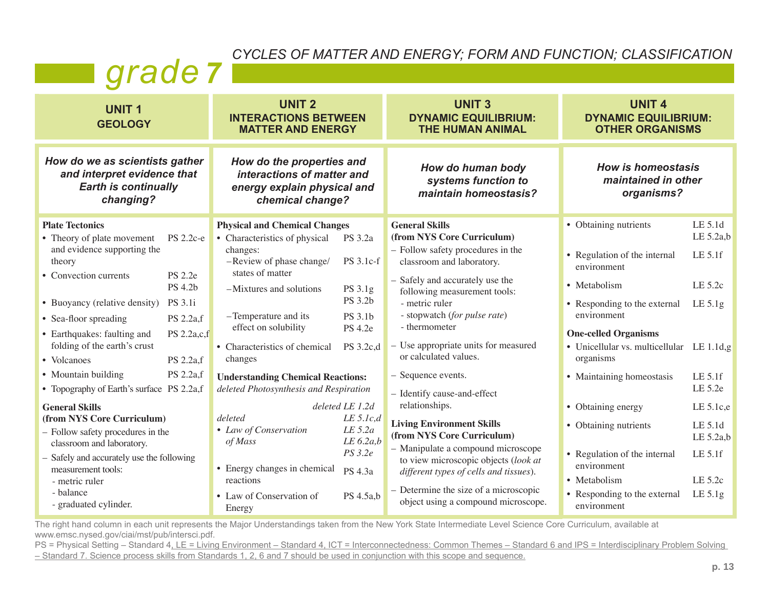#### *CYCLES OF MATTER AND ENERGY; FORM AND FUNCTION; CLASSIFICATION*

### *grade 7*

| <b>UNIT1</b><br><b>GEOLOGY</b>                                                                                                                                                                                                                   |                                              | <b>UNIT 2</b><br><b>INTERACTIONS BETWEEN</b><br><b>MATTER AND ENERGY</b>                                                       |                                                                                         | <b>UNIT3</b><br><b>DYNAMIC EQUILIBRIUM:</b><br><b>THE HUMAN ANIMAL</b>                                                                                                                                                                                                                   | <b>UNIT 4</b><br><b>DYNAMIC EQUILIBRIUM:</b><br><b>OTHER ORGANISMS</b>                                                                                    |                                                                    |
|--------------------------------------------------------------------------------------------------------------------------------------------------------------------------------------------------------------------------------------------------|----------------------------------------------|--------------------------------------------------------------------------------------------------------------------------------|-----------------------------------------------------------------------------------------|------------------------------------------------------------------------------------------------------------------------------------------------------------------------------------------------------------------------------------------------------------------------------------------|-----------------------------------------------------------------------------------------------------------------------------------------------------------|--------------------------------------------------------------------|
| How do we as scientists gather<br>and interpret evidence that<br><b>Earth is continually</b><br>changing?                                                                                                                                        |                                              | How do the properties and<br>interactions of matter and<br>energy explain physical and<br>chemical change?                     |                                                                                         | How do human body<br>systems function to<br>maintain homeostasis?                                                                                                                                                                                                                        | <b>How is homeostasis</b><br>maintained in other<br>organisms?                                                                                            |                                                                    |
| <b>Plate Tectonics</b><br>• Theory of plate movement<br>and evidence supporting the                                                                                                                                                              | <b>PS</b> 2.2c-e                             | <b>Physical and Chemical Changes</b><br>• Characteristics of physical<br>changes:                                              | PS 3.2a                                                                                 | <b>General Skills</b><br>(from NYS Core Curriculum)<br>- Follow safety procedures in the                                                                                                                                                                                                 | • Obtaining nutrients<br>• Regulation of the internal                                                                                                     | LE 5.1d<br>LE 5.2a,b<br>LE 5.1f                                    |
| theory<br>• Convection currents                                                                                                                                                                                                                  | <b>PS</b> 2.2e<br><b>PS 4.2b</b>             | -Review of phase change/<br>states of matter<br>-Mixtures and solutions                                                        | PS 3.1c-f<br>PS 3.1g                                                                    | classroom and laboratory.<br>- Safely and accurately use the<br>following measurement tools:                                                                                                                                                                                             | environment<br>• Metabolism                                                                                                                               | LE 5.2c                                                            |
| • Buoyancy (relative density)<br>• Sea-floor spreading<br>• Earthquakes: faulting and                                                                                                                                                            | <b>PS</b> 3.1i<br>PS 2.2a,f<br>PS $2.2a,c,f$ | -Temperature and its<br>effect on solubility                                                                                   | PS 3.2b<br>PS 3.1b<br><b>PS 4.2e</b>                                                    | - metric ruler<br>- stopwatch (for pulse rate)<br>- thermometer                                                                                                                                                                                                                          | • Responding to the external<br>environment<br><b>One-celled Organisms</b>                                                                                | LE 5.1g                                                            |
| folding of the earth's crust<br>• Volcanoes                                                                                                                                                                                                      | PS 2.2a,f                                    | • Characteristics of chemical<br>changes                                                                                       | PS 3.2c,d                                                                               | - Use appropriate units for measured<br>or calculated values.                                                                                                                                                                                                                            | • Unicellular vs. multicellular LE 1.1d,g<br>organisms                                                                                                    |                                                                    |
| • Mountain building<br>• Topography of Earth's surface PS 2.2a,f                                                                                                                                                                                 | PS 2.2a,f                                    | <b>Understanding Chemical Reactions:</b><br>deleted Photosynthesis and Respiration                                             |                                                                                         | - Sequence events.<br>- Identify cause-and-effect                                                                                                                                                                                                                                        | • Maintaining homeostasis                                                                                                                                 | LE 5.1f<br>LE 5.2e                                                 |
| <b>General Skills</b><br>(from NYS Core Curriculum)<br>- Follow safety procedures in the<br>classroom and laboratory.<br>- Safely and accurately use the following<br>measurement tools:<br>- metric ruler<br>- balance<br>- graduated cylinder. |                                              | deleted<br>• Law of Conservation<br>of Mass<br>• Energy changes in chemical<br>reactions<br>• Law of Conservation of<br>Energy | deleted LE 1.2d<br>LE 5.lc,d<br>LE 5.2a<br>LE 6.2a,b<br>PS 3.2e<br>PS 4.3a<br>PS 4.5a,b | relationships.<br><b>Living Environment Skills</b><br>(from NYS Core Curriculum)<br>- Manipulate a compound microscope<br>to view microscopic objects (look at<br>different types of cells and tissues).<br>- Determine the size of a microscopic<br>object using a compound microscope. | • Obtaining energy<br>• Obtaining nutrients<br>• Regulation of the internal<br>environment<br>• Metabolism<br>• Responding to the external<br>environment | LE 5.1c,e<br>LE 5.1d<br>LE 5.2a,b<br>LE 5.1f<br>LE 5.2c<br>LE 5.1g |

The right hand column in each unit represents the Major Understandings taken from the New York State Intermediate Level Science Core Curriculum, available at www.emsc.nysed.gov/ciai/mst/pub/intersci.pdf.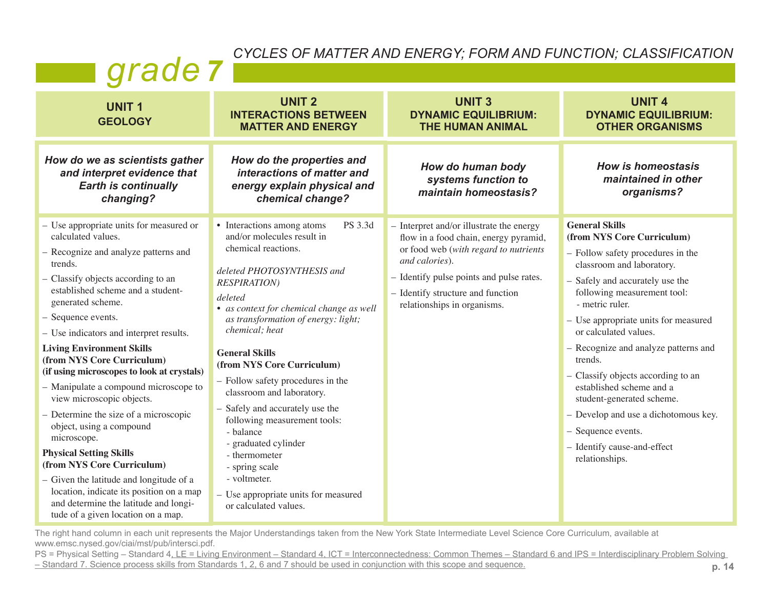#### *CYCLES OF MATTER AND ENERGY; FORM AND FUNCTION; CLASSIFICATION*

| grade 7 |  |
|---------|--|
|         |  |

| <b>UNIT1</b><br><b>GEOLOGY</b>                                                                                                                                                                                                                                                                                                                                                                                                                                                                                                                                                                                                                                                                                                                                                                    | <b>UNIT 2</b><br><b>INTERACTIONS BETWEEN</b><br><b>MATTER AND ENERGY</b>                                                                                                                                                                                                                                                                                                                                                                                                                                                                                                                                              | <b>UNIT3</b><br><b>DYNAMIC EQUILIBRIUM:</b><br><b>THE HUMAN ANIMAL</b>                                                                                                                                                                                       | <b>UNIT 4</b><br><b>DYNAMIC EQUILIBRIUM:</b><br><b>OTHER ORGANISMS</b>                                                                                                                                                                                                                                                                                                                                                                                                                                                                       |
|---------------------------------------------------------------------------------------------------------------------------------------------------------------------------------------------------------------------------------------------------------------------------------------------------------------------------------------------------------------------------------------------------------------------------------------------------------------------------------------------------------------------------------------------------------------------------------------------------------------------------------------------------------------------------------------------------------------------------------------------------------------------------------------------------|-----------------------------------------------------------------------------------------------------------------------------------------------------------------------------------------------------------------------------------------------------------------------------------------------------------------------------------------------------------------------------------------------------------------------------------------------------------------------------------------------------------------------------------------------------------------------------------------------------------------------|--------------------------------------------------------------------------------------------------------------------------------------------------------------------------------------------------------------------------------------------------------------|----------------------------------------------------------------------------------------------------------------------------------------------------------------------------------------------------------------------------------------------------------------------------------------------------------------------------------------------------------------------------------------------------------------------------------------------------------------------------------------------------------------------------------------------|
| How do we as scientists gather<br>and interpret evidence that<br><b>Earth is continually</b><br>changing?                                                                                                                                                                                                                                                                                                                                                                                                                                                                                                                                                                                                                                                                                         | How do the properties and<br>interactions of matter and<br>energy explain physical and<br>chemical change?                                                                                                                                                                                                                                                                                                                                                                                                                                                                                                            | How do human body<br>systems function to<br>maintain homeostasis?                                                                                                                                                                                            | <b>How is homeostasis</b><br>maintained in other<br>organisms?                                                                                                                                                                                                                                                                                                                                                                                                                                                                               |
| - Use appropriate units for measured or<br>calculated values.<br>- Recognize and analyze patterns and<br>trends.<br>- Classify objects according to an<br>established scheme and a student-<br>generated scheme.<br>- Sequence events.<br>- Use indicators and interpret results.<br><b>Living Environment Skills</b><br>(from NYS Core Curriculum)<br>(if using microscopes to look at crystals)<br>- Manipulate a compound microscope to<br>view microscopic objects.<br>- Determine the size of a microscopic<br>object, using a compound<br>microscope.<br><b>Physical Setting Skills</b><br>(from NYS Core Curriculum)<br>- Given the latitude and longitude of a<br>location, indicate its position on a map<br>and determine the latitude and longi-<br>tude of a given location on a map. | PS 3.3d<br>• Interactions among atoms<br>and/or molecules result in<br>chemical reactions.<br>deleted PHOTOSYNTHESIS and<br><b>RESPIRATION</b> )<br>deleted<br>• as context for chemical change as well<br>as transformation of energy: light;<br>chemical; heat<br><b>General Skills</b><br>(from NYS Core Curriculum)<br>- Follow safety procedures in the<br>classroom and laboratory.<br>- Safely and accurately use the<br>following measurement tools:<br>- balance<br>- graduated cylinder<br>- thermometer<br>- spring scale<br>- voltmeter.<br>- Use appropriate units for measured<br>or calculated values. | - Interpret and/or illustrate the energy<br>flow in a food chain, energy pyramid,<br>or food web (with regard to nutrients<br>and calories).<br>- Identify pulse points and pulse rates.<br>- Identify structure and function<br>relationships in organisms. | <b>General Skills</b><br>(from NYS Core Curriculum)<br>- Follow safety procedures in the<br>classroom and laboratory.<br>- Safely and accurately use the<br>following measurement tool:<br>- metric ruler.<br>- Use appropriate units for measured<br>or calculated values.<br>- Recognize and analyze patterns and<br>trends.<br>- Classify objects according to an<br>established scheme and a<br>student-generated scheme.<br>- Develop and use a dichotomous key.<br>- Sequence events.<br>- Identify cause-and-effect<br>relationships. |

The right hand column in each unit represents the Major Understandings taken from the New York State Intermediate Level Science Core Curriculum, available at www.emsc.nysed.gov/ciai/mst/pub/intersci.pdf.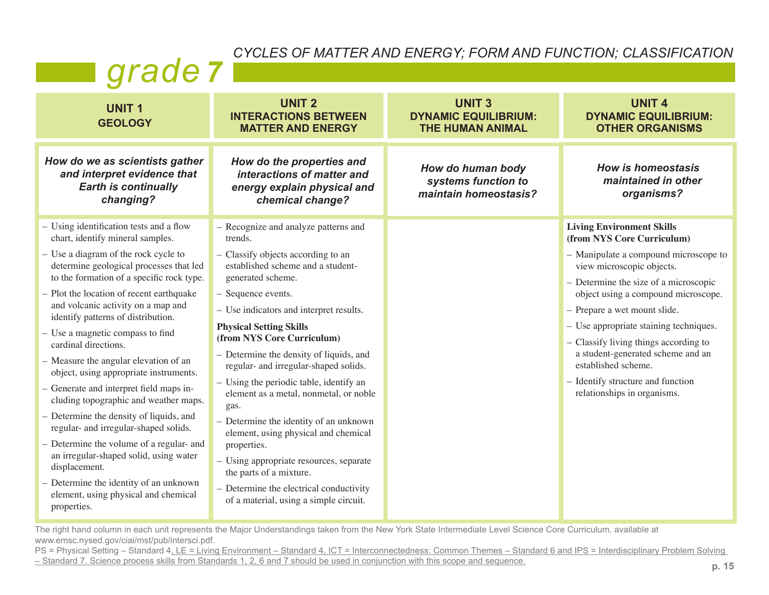#### *CYCLES OF MATTER AND ENERGY; FORM AND FUNCTION; CLASSIFICATION*

## **grade** 7

| <b>UNIT1</b><br><b>GEOLOGY</b>                                                                                               | <b>UNIT 2</b><br><b>INTERACTIONS BETWEEN</b><br><b>MATTER AND ENERGY</b>                                   | <b>UNIT3</b><br><b>DYNAMIC EQUILIBRIUM:</b><br><b>THE HUMAN ANIMAL</b> | <b>UNIT 4</b><br><b>DYNAMIC EQUILIBRIUM:</b><br><b>OTHER ORGANISMS</b>          |
|------------------------------------------------------------------------------------------------------------------------------|------------------------------------------------------------------------------------------------------------|------------------------------------------------------------------------|---------------------------------------------------------------------------------|
| How do we as scientists gather<br>and interpret evidence that<br><b>Earth is continually</b><br>changing?                    | How do the properties and<br>interactions of matter and<br>energy explain physical and<br>chemical change? | How do human body<br>systems function to<br>maintain homeostasis?      | <b>How is homeostasis</b><br>maintained in other<br>organisms?                  |
| - Using identification tests and a flow<br>chart, identify mineral samples.                                                  | - Recognize and analyze patterns and<br>trends.                                                            |                                                                        | <b>Living Environment Skills</b><br>(from NYS Core Curriculum)                  |
| - Use a diagram of the rock cycle to<br>determine geological processes that led<br>to the formation of a specific rock type. | - Classify objects according to an<br>established scheme and a student-<br>generated scheme.               |                                                                        | - Manipulate a compound microscope to<br>view microscopic objects.              |
| - Plot the location of recent earthquake                                                                                     | - Sequence events.                                                                                         |                                                                        | - Determine the size of a microscopic<br>object using a compound microscope.    |
| and volcanic activity on a map and<br>identify patterns of distribution.                                                     | - Use indicators and interpret results.                                                                    |                                                                        | - Prepare a wet mount slide.                                                    |
| - Use a magnetic compass to find<br>cardinal directions.                                                                     | <b>Physical Setting Skills</b><br>(from NYS Core Curriculum)                                               |                                                                        | - Use appropriate staining techniques.<br>- Classify living things according to |
| - Measure the angular elevation of an<br>object, using appropriate instruments.                                              | - Determine the density of liquids, and<br>regular- and irregular-shaped solids.                           |                                                                        | a student-generated scheme and an<br>established scheme.                        |
| - Generate and interpret field maps in-<br>cluding topographic and weather maps.                                             | - Using the periodic table, identify an<br>element as a metal, nonmetal, or noble<br>gas.                  |                                                                        | - Identify structure and function<br>relationships in organisms.                |
| - Determine the density of liquids, and<br>regular- and irregular-shaped solids.                                             | - Determine the identity of an unknown<br>element, using physical and chemical                             |                                                                        |                                                                                 |
| - Determine the volume of a regular- and<br>an irregular-shaped solid, using water<br>displacement.                          | properties.<br>- Using appropriate resources, separate<br>the parts of a mixture.                          |                                                                        |                                                                                 |
| - Determine the identity of an unknown<br>element, using physical and chemical<br>properties.                                | - Determine the electrical conductivity<br>of a material, using a simple circuit.                          |                                                                        |                                                                                 |

The right hand column in each unit represents the Major Understandings taken from the New York State Intermediate Level Science Core Curriculum, available at www.emsc.nysed.gov/ciai/mst/pub/intersci.pdf.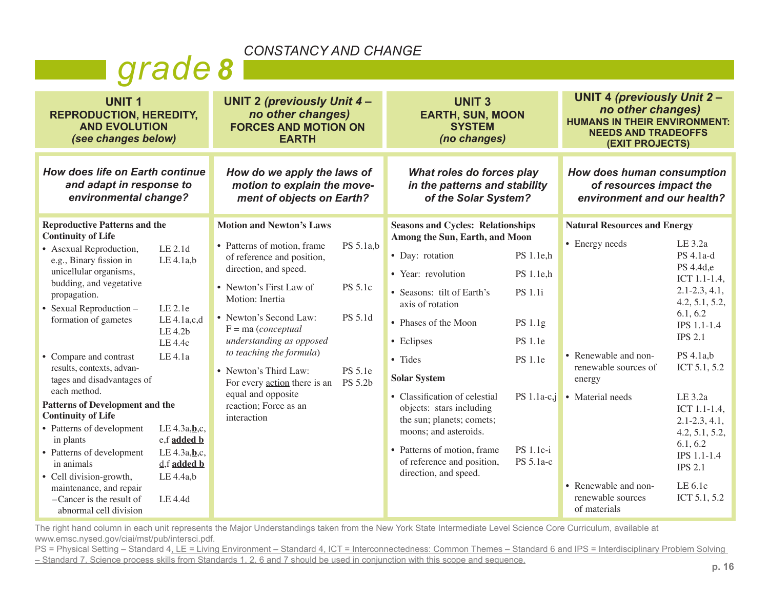## *grade 8*

| <b>UNIT1</b><br><b>REPRODUCTION, HEREDITY,</b><br><b>AND EVOLUTION</b><br>(see changes below)                                                                                                                                                                                                                                                        |                                                                                                    | <b>UNIT 2 (previously Unit 4-</b><br>no other changes)<br><b>FORCES AND MOTION ON</b><br><b>EARTH</b>                                                                                                                                                                                                                                                        |                                                              | <b>UNIT3</b><br><b>EARTH, SUN, MOON</b><br><b>SYSTEM</b><br>(no changes)                                                                                                                                                                                                       |                                                                                                          | <b>UNIT 4 (previously Unit 2-</b><br>no other changes)<br><b>HUMANS IN THEIR ENVIRONMENT:</b><br><b>NEEDS AND TRADEOFFS</b><br><b>(EXIT PROJECTS)</b> |                                                                                                                                                                               |
|------------------------------------------------------------------------------------------------------------------------------------------------------------------------------------------------------------------------------------------------------------------------------------------------------------------------------------------------------|----------------------------------------------------------------------------------------------------|--------------------------------------------------------------------------------------------------------------------------------------------------------------------------------------------------------------------------------------------------------------------------------------------------------------------------------------------------------------|--------------------------------------------------------------|--------------------------------------------------------------------------------------------------------------------------------------------------------------------------------------------------------------------------------------------------------------------------------|----------------------------------------------------------------------------------------------------------|-------------------------------------------------------------------------------------------------------------------------------------------------------|-------------------------------------------------------------------------------------------------------------------------------------------------------------------------------|
| How does life on Earth continue<br>and adapt in response to<br>environmental change?                                                                                                                                                                                                                                                                 |                                                                                                    | How do we apply the laws of<br>motion to explain the move-<br>ment of objects on Earth?                                                                                                                                                                                                                                                                      |                                                              | What roles do forces play<br>in the patterns and stability<br>of the Solar System?                                                                                                                                                                                             |                                                                                                          | How does human consumption<br>of resources impact the<br>environment and our health?                                                                  |                                                                                                                                                                               |
| <b>Reproductive Patterns and the</b><br><b>Continuity of Life</b><br>• Asexual Reproduction,<br>e.g., Binary fission in<br>unicellular organisms,<br>budding, and vegetative<br>propagation.<br>• Sexual Reproduction –<br>formation of gametes<br>• Compare and contrast<br>results, contexts, advan-<br>tages and disadvantages of<br>each method. | LE 2.1d<br>$LE$ 4.1a,b<br>LE 2.1e<br>LE 4.1a,c,d<br>LE 4.2b<br>LE 4.4c<br>LE 4.1a                  | <b>Motion and Newton's Laws</b><br>• Patterns of motion, frame<br>of reference and position,<br>direction, and speed.<br>• Newton's First Law of<br>Motion: Inertia<br>• Newton's Second Law:<br>$F = ma$ (conceptual<br>understanding as opposed<br>to teaching the formula)<br>• Newton's Third Law:<br>For every action there is an<br>equal and opposite | PS 5.1a,b<br>PS 5.1c<br>PS 5.1d<br><b>PS</b> 5.1e<br>PS 5.2b | <b>Seasons and Cycles: Relationships</b><br>Among the Sun, Earth, and Moon<br>• Day: rotation<br>• Year: revolution<br>• Seasons: tilt of Earth's<br>axis of rotation<br>• Phases of the Moon<br>• Eclipses<br>• Tides<br><b>Solar System</b><br>• Classification of celestial | PS 1.1e,h<br>PS 1.1e,h<br><b>PS</b> 1.1i<br>PS 1.1g<br><b>PS</b> 1.1e<br><b>PS</b> 1.1e<br>$PS 1.1a-c,j$ | <b>Natural Resources and Energy</b><br>• Energy needs<br>• Renewable and non-<br>renewable sources of<br>energy                                       | LE 3.2a<br>PS 4.1a-d<br>PS 4.4d,e<br>ICT 1.1-1.4,<br>$2.1 - 2.3, 4.1,$<br>4.2, 5.1, 5.2,<br>6.1, 6.2<br>IPS 1.1-1.4<br><b>IPS 2.1</b><br>PS 4.1a,b<br>ICT 5.1, 5.2<br>LE 3.2a |
| Patterns of Development and the<br><b>Continuity of Life</b><br>• Patterns of development<br>in plants<br>• Patterns of development<br>in animals<br>• Cell division-growth,<br>maintenance, and repair<br>-Cancer is the result of<br>abnormal cell division                                                                                        | LE 4.3a, b,c,<br>e,f added b<br>LE $4.3a$ , $b$ , c,<br>$d, f$ added $b$<br>$LE$ 4.4a,b<br>LE 4.4d | reaction; Force as an<br>interaction                                                                                                                                                                                                                                                                                                                         |                                                              | objects: stars including<br>the sun; planets; comets;<br>moons; and asteroids.<br>• Patterns of motion, frame<br>of reference and position,<br>direction, and speed.                                                                                                           | PS 1.1c-i<br>PS 5.1a-c                                                                                   | • Material needs<br>• Renewable and non-<br>renewable sources<br>of materials                                                                         | ICT 1.1-1.4,<br>$2.1 - 2.3, 4.1,$<br>4.2, 5.1, 5.2,<br>6.1, 6.2<br>IPS 1.1-1.4<br><b>IPS 2.1</b><br>LE 6.1c<br>ICT 5.1, 5.2                                                   |

The right hand column in each unit represents the Major Understandings taken from the New York State Intermediate Level Science Core Curriculum, available at www.emsc.nysed.gov/ciai/mst/pub/intersci.pdf.

PS = Physical Setting – Standard 4, LE = Living Environment – Standard 4, ICT = Interconnectedness: Common Themes – Standard 6 and IPS = Interdisciplinary Problem Solving – Standard 7. Science process skills from Standards 1, 2, 6 and 7 should be used in conjunction with this scope and sequence.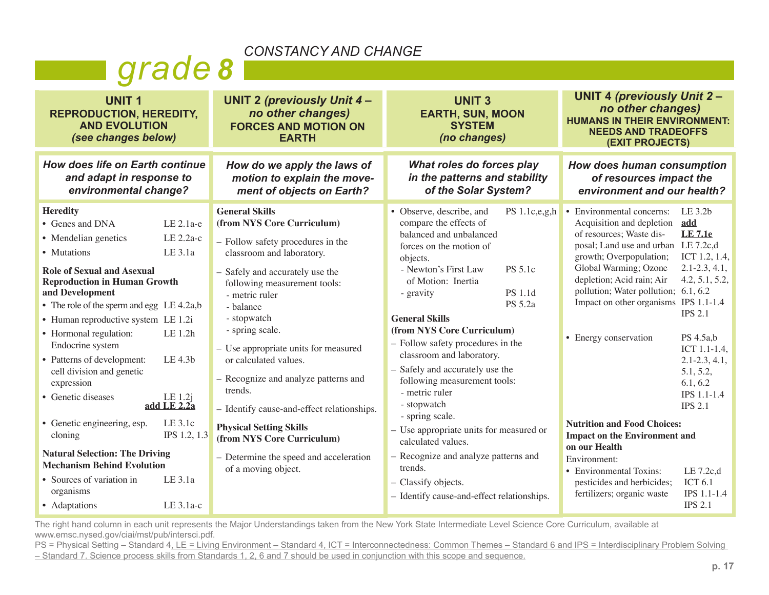## *grade 8*

| <b>UNIT 2 (previously Unit 4-</b><br>no other changes)<br><b>FORCES AND MOTION ON</b><br><b>EARTH</b>                                                                                                                                                                                                                                                                                                                                                                                                                                                        | <b>UNIT 3</b><br><b>EARTH, SUN, MOON</b><br><b>SYSTEM</b><br>(no changes)                                                                                                                                                                                                                                                                                                                                                                                                                                                                                                                                   | <b>UNIT 4 (previously Unit 2-</b><br>no other changes)<br><b>HUMANS IN THEIR ENVIRONMENT:</b><br><b>NEEDS AND TRADEOFFS</b><br><b>(EXIT PROJECTS)</b>                                                                                                                                                                                                                                                                                                                                                                                                                                                                                                                                                                                                                                                              |
|--------------------------------------------------------------------------------------------------------------------------------------------------------------------------------------------------------------------------------------------------------------------------------------------------------------------------------------------------------------------------------------------------------------------------------------------------------------------------------------------------------------------------------------------------------------|-------------------------------------------------------------------------------------------------------------------------------------------------------------------------------------------------------------------------------------------------------------------------------------------------------------------------------------------------------------------------------------------------------------------------------------------------------------------------------------------------------------------------------------------------------------------------------------------------------------|--------------------------------------------------------------------------------------------------------------------------------------------------------------------------------------------------------------------------------------------------------------------------------------------------------------------------------------------------------------------------------------------------------------------------------------------------------------------------------------------------------------------------------------------------------------------------------------------------------------------------------------------------------------------------------------------------------------------------------------------------------------------------------------------------------------------|
| How do we apply the laws of<br>motion to explain the move-<br>ment of objects on Earth?                                                                                                                                                                                                                                                                                                                                                                                                                                                                      | What roles do forces play<br>in the patterns and stability<br>of the Solar System?                                                                                                                                                                                                                                                                                                                                                                                                                                                                                                                          | How does human consumption<br>of resources impact the<br>environment and our health?                                                                                                                                                                                                                                                                                                                                                                                                                                                                                                                                                                                                                                                                                                                               |
| <b>General Skills</b><br>(from NYS Core Curriculum)<br>- Follow safety procedures in the<br>classroom and laboratory.<br>- Safely and accurately use the<br>following measurement tools:<br>- metric ruler<br>- balance<br>- stopwatch<br>- spring scale.<br>- Use appropriate units for measured<br>or calculated values.<br>- Recognize and analyze patterns and<br>trends.<br>- Identify cause-and-effect relationships.<br><b>Physical Setting Skills</b><br>(from NYS Core Curriculum)<br>- Determine the speed and acceleration<br>of a moving object. | • Observe, describe, and<br>compare the effects of<br>balanced and unbalanced<br>forces on the motion of<br>objects.<br>- Newton's First Law<br>PS 5.1c<br>of Motion: Inertia<br>PS 1.1d<br>- gravity<br>PS 5.2a<br><b>General Skills</b><br>(from NYS Core Curriculum)<br>- Follow safety procedures in the<br>classroom and laboratory.<br>- Safely and accurately use the<br>following measurement tools:<br>- metric ruler<br>- stopwatch<br>- spring scale.<br>- Use appropriate units for measured or<br>calculated values.<br>- Recognize and analyze patterns and<br>trends.<br>- Classify objects. | PS $1.1c,e,g,h$ • Environmental concerns:<br>LE 3.2b<br>Acquisition and depletion<br>add<br><b>LE 7.1e</b><br>of resources; Waste dis-<br>posal; Land use and urban LE 7.2c,d<br>growth; Overpopulation;<br>ICT 1.2, 1.4,<br>$2.1 - 2.3, 4.1,$<br>Global Warming; Ozone<br>depletion; Acid rain; Air<br>4.2, 5.1, 5.2,<br>pollution; Water pollution; 6.1, 6.2<br>Impact on other organisms IPS 1.1-1.4<br><b>IPS 2.1</b><br>• Energy conservation<br>PS 4.5a,b<br>ICT 1.1-1.4,<br>$2.1 - 2.3, 4.1,$<br>5.1, 5.2,<br>6.1, 6.2<br>IPS 1.1-1.4<br><b>IPS 2.1</b><br><b>Nutrition and Food Choices:</b><br><b>Impact on the Environment and</b><br>on our Health<br>Environment:<br>• Environmental Toxins:<br>LE 7.2c,d<br><b>ICT 6.1</b><br>pesticides and herbicides;<br>fertilizers; organic waste<br>IPS 1.1-1.4 |
|                                                                                                                                                                                                                                                                                                                                                                                                                                                                                                                                                              |                                                                                                                                                                                                                                                                                                                                                                                                                                                                                                                                                                                                             | <b>IPS 2.1</b>                                                                                                                                                                                                                                                                                                                                                                                                                                                                                                                                                                                                                                                                                                                                                                                                     |
| • The role of the sperm and egg $LE 4.2a,b$<br>$LE$ 3.1a-c                                                                                                                                                                                                                                                                                                                                                                                                                                                                                                   | How does life on Earth continue<br>$LE 2.1a-e$<br>LE 2.2a-c<br>IPS 1.2, 1.3                                                                                                                                                                                                                                                                                                                                                                                                                                                                                                                                 | - Identify cause-and-effect relationships.                                                                                                                                                                                                                                                                                                                                                                                                                                                                                                                                                                                                                                                                                                                                                                         |

The right hand column in each unit represents the Major Understandings taken from the New York State Intermediate Level Science Core Curriculum, available at www.emsc.nysed.gov/ciai/mst/pub/intersci.pdf.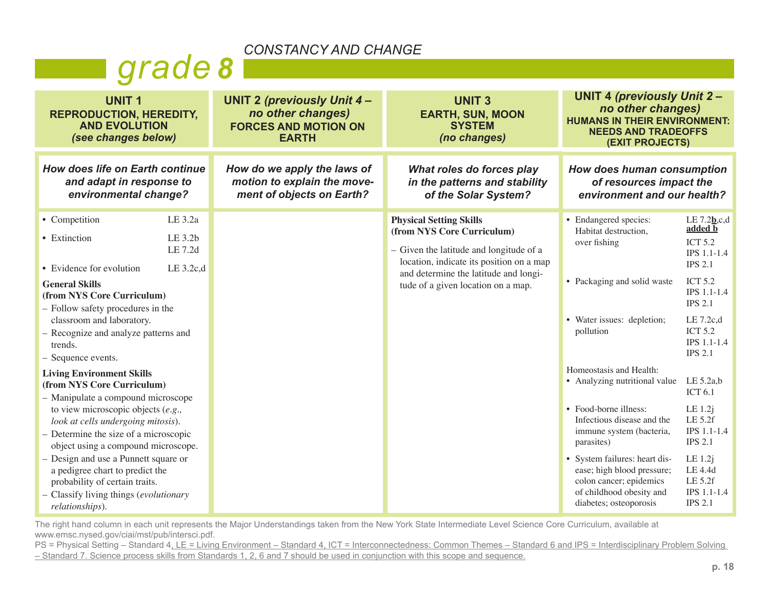## *grade 8*

| <b>UNIT1</b><br><b>REPRODUCTION, HEREDITY,</b><br><b>AND EVOLUTION</b><br>(see changes below)                                                                                                                                                                                                                                                                                                                                                                                                                                                                             |                                              | <b>UNIT 2 (previously Unit 4-</b><br>no other changes)<br><b>FORCES AND MOTION ON</b><br><b>EARTH</b> | <b>UNIT3</b><br><b>EARTH, SUN, MOON</b><br><b>SYSTEM</b><br>(no changes)                                                                                                                                                           | <b>UNIT 4 (previously Unit 2-</b><br>no other changes)<br><b>HUMANS IN THEIR ENVIRONMENT:</b><br><b>NEEDS AND TRADEOFFS</b><br><b>(EXIT PROJECTS)</b>                                                                                                                                                                                 |                                                                                                                                                                                                                                                                                                       |
|---------------------------------------------------------------------------------------------------------------------------------------------------------------------------------------------------------------------------------------------------------------------------------------------------------------------------------------------------------------------------------------------------------------------------------------------------------------------------------------------------------------------------------------------------------------------------|----------------------------------------------|-------------------------------------------------------------------------------------------------------|------------------------------------------------------------------------------------------------------------------------------------------------------------------------------------------------------------------------------------|---------------------------------------------------------------------------------------------------------------------------------------------------------------------------------------------------------------------------------------------------------------------------------------------------------------------------------------|-------------------------------------------------------------------------------------------------------------------------------------------------------------------------------------------------------------------------------------------------------------------------------------------------------|
| How does life on Earth continue<br>and adapt in response to<br>environmental change?                                                                                                                                                                                                                                                                                                                                                                                                                                                                                      |                                              | How do we apply the laws of<br>motion to explain the move-<br>ment of objects on Earth?               | What roles do forces play<br>in the patterns and stability<br>of the Solar System?                                                                                                                                                 | How does human consumption<br>of resources impact the<br>environment and our health?                                                                                                                                                                                                                                                  |                                                                                                                                                                                                                                                                                                       |
| • Competition<br>• Extinction<br>• Evidence for evolution<br><b>General Skills</b><br>(from NYS Core Curriculum)<br>- Follow safety procedures in the<br>classroom and laboratory.<br>- Recognize and analyze patterns and<br>trends.<br>- Sequence events.<br><b>Living Environment Skills</b><br>(from NYS Core Curriculum)<br>- Manipulate a compound microscope<br>to view microscopic objects $(e.g.,$<br>look at cells undergoing mitosis).<br>- Determine the size of a microscopic<br>object using a compound microscope.<br>- Design and use a Punnett square or | LE 3.2a<br>LE 3.2b<br>LE 7.2d<br>LE $3.2c,d$ |                                                                                                       | <b>Physical Setting Skills</b><br>(from NYS Core Curriculum)<br>- Given the latitude and longitude of a<br>location, indicate its position on a map<br>and determine the latitude and longi-<br>tude of a given location on a map. | • Endangered species:<br>Habitat destruction,<br>over fishing<br>• Packaging and solid waste<br>• Water issues: depletion;<br>pollution<br>Homeostasis and Health:<br>• Analyzing nutritional value<br>• Food-borne illness:<br>Infectious disease and the<br>immune system (bacteria,<br>parasites)<br>• System failures: heart dis- | LE $7.2$ <b>b</b> ,c,d<br>added b<br><b>ICT 5.2</b><br>IPS 1.1-1.4<br><b>IPS 2.1</b><br><b>ICT 5.2</b><br>IPS 1.1-1.4<br><b>IPS 2.1</b><br>LE 7.2c,d<br><b>ICT 5.2</b><br>IPS 1.1-1.4<br><b>IPS 2.1</b><br>LE $5.2a,b$<br>ICT $6.1$<br>LE 1.2j<br>LE 5.2f<br>IPS 1.1-1.4<br><b>IPS 2.1</b><br>LE 1.2j |
| a pedigree chart to predict the<br>probability of certain traits.<br>- Classify living things (evolutionary<br>relationships).                                                                                                                                                                                                                                                                                                                                                                                                                                            |                                              |                                                                                                       |                                                                                                                                                                                                                                    | ease; high blood pressure;<br>colon cancer; epidemics<br>of childhood obesity and<br>diabetes; osteoporosis                                                                                                                                                                                                                           | LE 4.4d<br>LE 5.2f<br>IPS 1.1-1.4<br><b>IPS 2.1</b>                                                                                                                                                                                                                                                   |

The right hand column in each unit represents the Major Understandings taken from the New York State Intermediate Level Science Core Curriculum, available at www.emsc.nysed.gov/ciai/mst/pub/intersci.pdf.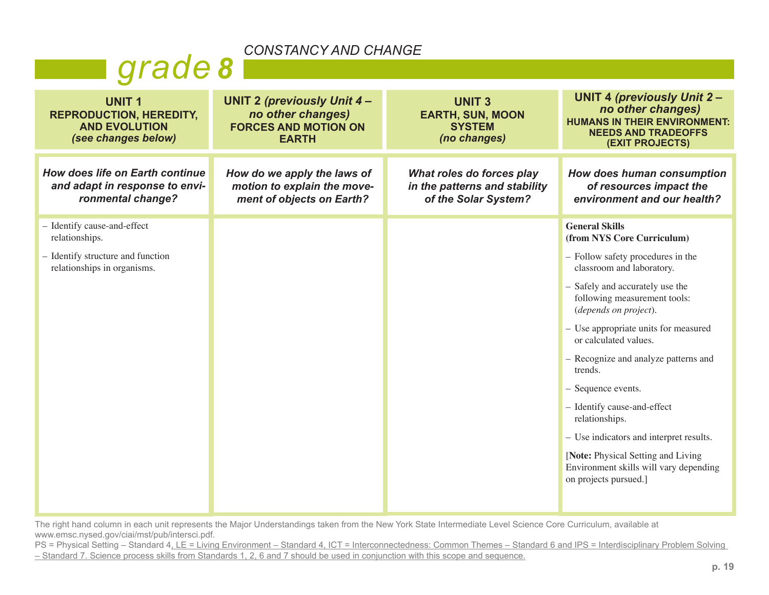| <u>UUNUIANUI AND UIANUL</u>                                                                   |                                                                                                       |                                                                                    |                                                                                                                                                |  |  |  |  |
|-----------------------------------------------------------------------------------------------|-------------------------------------------------------------------------------------------------------|------------------------------------------------------------------------------------|------------------------------------------------------------------------------------------------------------------------------------------------|--|--|--|--|
| grade 8                                                                                       |                                                                                                       |                                                                                    |                                                                                                                                                |  |  |  |  |
| <b>UNIT1</b><br><b>REPRODUCTION, HEREDITY,</b><br><b>AND EVOLUTION</b><br>(see changes below) | <b>UNIT 2 (previously Unit 4-</b><br>no other changes)<br><b>FORCES AND MOTION ON</b><br><b>EARTH</b> | <b>UNIT 3</b><br><b>EARTH, SUN, MOON</b><br><b>SYSTEM</b><br>(no changes)          | <b>UNIT 4 (previously Unit 2-</b><br>no other changes)<br><b>HUMANS IN THEIR ENVIRONMENT:</b><br><b>NEEDS AND TRADEOFFS</b><br>(EXIT PROJECTS) |  |  |  |  |
| How does life on Earth continue<br>and adapt in response to envi-<br>ronmental change?        | How do we apply the laws of<br>motion to explain the move-<br>ment of objects on Earth?               | What roles do forces play<br>in the patterns and stability<br>of the Solar System? | How does human consumption<br>of resources impact the<br>environment and our health?                                                           |  |  |  |  |
| - Identify cause-and-effect<br>relationships.                                                 |                                                                                                       |                                                                                    | <b>General Skills</b><br>(from NYS Core Curriculum)                                                                                            |  |  |  |  |
| - Identify structure and function<br>relationships in organisms.                              |                                                                                                       |                                                                                    | - Follow safety procedures in the<br>classroom and laboratory.                                                                                 |  |  |  |  |
|                                                                                               |                                                                                                       |                                                                                    | - Safely and accurately use the<br>following measurement tools:<br>(depends on project).                                                       |  |  |  |  |
|                                                                                               |                                                                                                       |                                                                                    | - Use appropriate units for measured<br>or calculated values.                                                                                  |  |  |  |  |
|                                                                                               |                                                                                                       |                                                                                    | - Recognize and analyze patterns and<br>trends.                                                                                                |  |  |  |  |
|                                                                                               |                                                                                                       |                                                                                    | - Sequence events.                                                                                                                             |  |  |  |  |
|                                                                                               |                                                                                                       |                                                                                    | - Identify cause-and-effect<br>relationships.                                                                                                  |  |  |  |  |
|                                                                                               |                                                                                                       |                                                                                    | - Use indicators and interpret results.                                                                                                        |  |  |  |  |
|                                                                                               |                                                                                                       |                                                                                    | [Note: Physical Setting and Living<br>Environment skills will vary depending<br>on projects pursued.]                                          |  |  |  |  |
|                                                                                               |                                                                                                       |                                                                                    |                                                                                                                                                |  |  |  |  |

The right hand column in each unit represents the Major Understandings taken from the New York State Intermediate Level Science Core Curriculum, available at www.emsc.nysed.gov/ciai/mst/pub/intersci.pdf.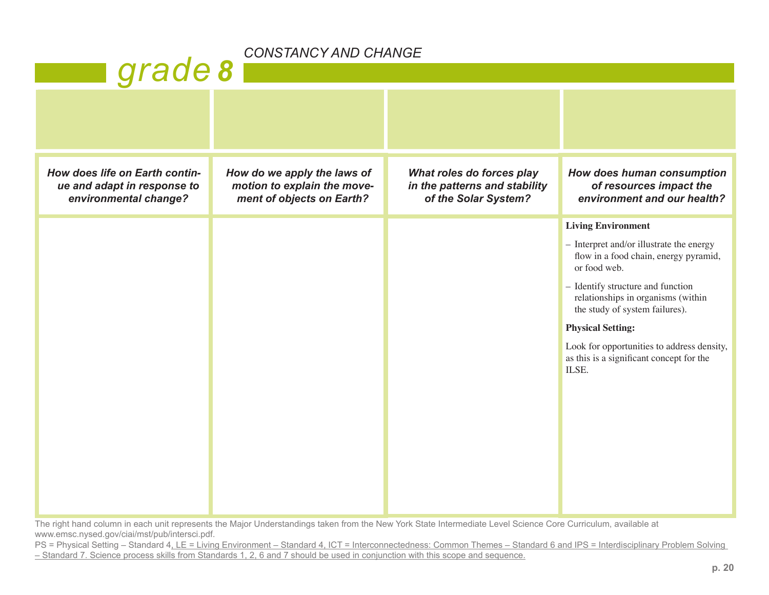## *grade 8*

| How does life on Earth contin-<br>ue and adapt in response to<br>environmental change? | How do we apply the laws of<br>motion to explain the move-<br>ment of objects on Earth? | What roles do forces play<br>in the patterns and stability<br>of the Solar System? | How does human consumption<br>of resources impact the<br>environment and our health?                      |
|----------------------------------------------------------------------------------------|-----------------------------------------------------------------------------------------|------------------------------------------------------------------------------------|-----------------------------------------------------------------------------------------------------------|
|                                                                                        |                                                                                         |                                                                                    | <b>Living Environment</b>                                                                                 |
|                                                                                        |                                                                                         |                                                                                    | - Interpret and/or illustrate the energy<br>flow in a food chain, energy pyramid,<br>or food web.         |
|                                                                                        |                                                                                         |                                                                                    | - Identify structure and function<br>relationships in organisms (within<br>the study of system failures). |
|                                                                                        |                                                                                         |                                                                                    | <b>Physical Setting:</b>                                                                                  |
|                                                                                        |                                                                                         |                                                                                    | Look for opportunities to address density,<br>as this is a significant concept for the<br>ILSE.           |
|                                                                                        |                                                                                         |                                                                                    |                                                                                                           |
|                                                                                        |                                                                                         |                                                                                    |                                                                                                           |

The right hand column in each unit represents the Major Understandings taken from the New York State Intermediate Level Science Core Curriculum, available at www.emsc.nysed.gov/ciai/mst/pub/intersci.pdf.